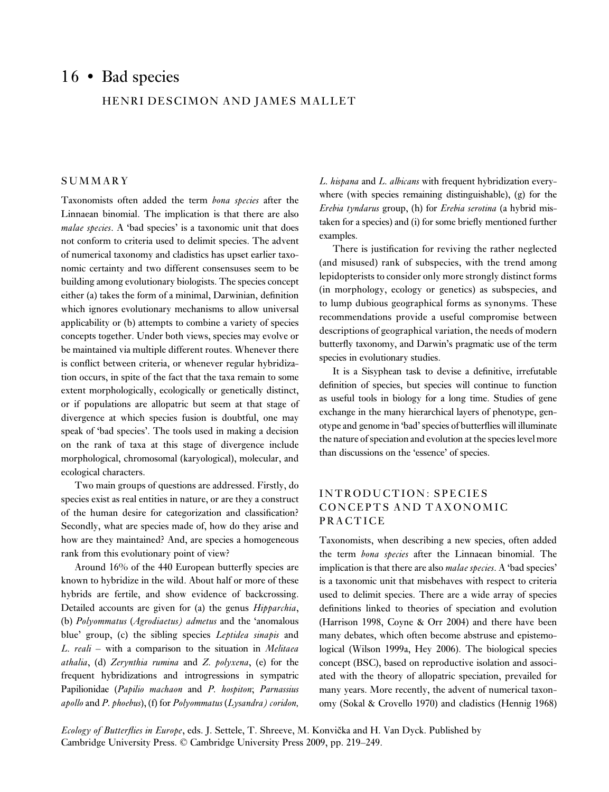# 16 • Bad species

## HENRI DESCIMON AND JAMES MALLET

### **SUMMARY**

Taxonomists often added the term bona species after the Linnaean binomial. The implication is that there are also malae species. A 'bad species' is a taxonomic unit that does not conform to criteria used to delimit species. The advent of numerical taxonomy and cladistics has upset earlier taxonomic certainty and two different consensuses seem to be building among evolutionary biologists. The species concept either (a) takes the form of a minimal, Darwinian, definition which ignores evolutionary mechanisms to allow universal applicability or (b) attempts to combine a variety of species concepts together. Under both views, species may evolve or be maintained via multiple different routes. Whenever there is conflict between criteria, or whenever regular hybridization occurs, in spite of the fact that the taxa remain to some extent morphologically, ecologically or genetically distinct, or if populations are allopatric but seem at that stage of divergence at which species fusion is doubtful, one may speak of 'bad species'. The tools used in making a decision on the rank of taxa at this stage of divergence include morphological, chromosomal (karyological), molecular, and ecological characters.

Two main groups of questions are addressed. Firstly, do species exist as real entities in nature, or are they a construct of the human desire for categorization and classification? Secondly, what are species made of, how do they arise and how are they maintained? And, are species a homogeneous rank from this evolutionary point of view?

Around 16% of the 440 European butterfly species are known to hybridize in the wild. About half or more of these hybrids are fertile, and show evidence of backcrossing. Detailed accounts are given for (a) the genus Hipparchia, (b) Polyommatus (Agrodiaetus) admetus and the 'anomalous blue' group, (c) the sibling species Leptidea sinapis and  $L.$   $reali$  – with a comparison to the situation in Melitaea athalia, (d) Zerynthia rumina and Z. polyxena, (e) for the frequent hybridizations and introgressions in sympatric Papilionidae (Papilio machaon and P. hospiton; Parnassius apollo and P. phoebus), (f) for  $Polyommatus (Lysandra)$  coridon,

L. hispana and L. albicans with frequent hybridization everywhere (with species remaining distinguishable), (g) for the Erebia tyndarus group, (h) for Erebia serotina (a hybrid mistaken for a species) and (i) for some briefly mentioned further examples.

There is justification for reviving the rather neglected (and misused) rank of subspecies, with the trend among lepidopterists to consider only more strongly distinct forms (in morphology, ecology or genetics) as subspecies, and to lump dubious geographical forms as synonyms. These recommendations provide a useful compromise between descriptions of geographical variation, the needs of modern butterfly taxonomy, and Darwin's pragmatic use of the term species in evolutionary studies.

It is a Sisyphean task to devise a definitive, irrefutable definition of species, but species will continue to function as useful tools in biology for a long time. Studies of gene exchange in the many hierarchical layers of phenotype, genotype and genome in 'bad'species of butterflies will illuminate the nature of speciation and evolution at the species level more than discussions on the 'essence' of species.

## INTRODUCTION: SPECIES CONCEPTS AND TAXONOMIC PRACTICE

Taxonomists, when describing a new species, often added the term bona species after the Linnaean binomial. The implication is that there are also malae species. A 'bad species' is a taxonomic unit that misbehaves with respect to criteria used to delimit species. There are a wide array of species definitions linked to theories of speciation and evolution (Harrison 1998, Coyne & Orr 2004) and there have been many debates, which often become abstruse and epistemological (Wilson 1999a, Hey 2006). The biological species concept (BSC), based on reproductive isolation and associated with the theory of allopatric speciation, prevailed for many years. More recently, the advent of numerical taxonomy (Sokal & Crovello 1970) and cladistics (Hennig 1968)

Ecology of Butterflies in Europe, eds. J. Settele, T. Shreeve, M. Konvička and H. Van Dyck. Published by Cambridge University Press. © Cambridge University Press 2009, pp. 219–249.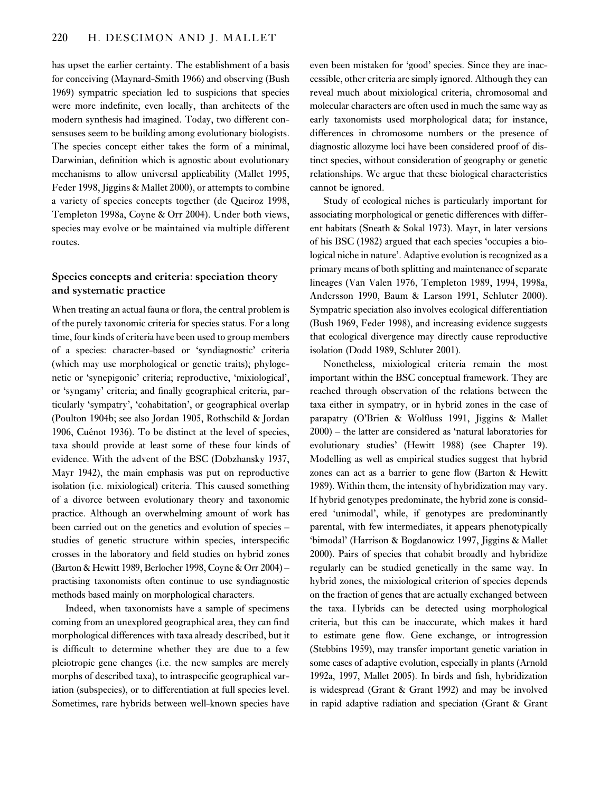has upset the earlier certainty. The establishment of a basis for conceiving (Maynard-Smith 1966) and observing (Bush 1969) sympatric speciation led to suspicions that species were more indefinite, even locally, than architects of the modern synthesis had imagined. Today, two different consensuses seem to be building among evolutionary biologists. The species concept either takes the form of a minimal, Darwinian, definition which is agnostic about evolutionary mechanisms to allow universal applicability (Mallet 1995, Feder 1998, Jiggins & Mallet 2000), or attempts to combine a variety of species concepts together (de Queiroz 1998, Templeton 1998a, Coyne & Orr 2004). Under both views, species may evolve or be maintained via multiple different routes.

## Species concepts and criteria: speciation theory and systematic practice

When treating an actual fauna or flora, the central problem is of the purely taxonomic criteria for species status. For a long time, four kinds of criteria have been used to group members of a species: character-based or 'syndiagnostic' criteria (which may use morphological or genetic traits); phylogenetic or 'synepigonic' criteria; reproductive, 'mixiological', or 'syngamy' criteria; and finally geographical criteria, particularly 'sympatry', 'cohabitation', or geographical overlap (Poulton 1904b; see also Jordan 1905, Rothschild & Jordan 1906, Cuénot 1936). To be distinct at the level of species, taxa should provide at least some of these four kinds of evidence. With the advent of the BSC (Dobzhansky 1937, Mayr 1942), the main emphasis was put on reproductive isolation (i.e. mixiological) criteria. This caused something of a divorce between evolutionary theory and taxonomic practice. Although an overwhelming amount of work has been carried out on the genetics and evolution of species – studies of genetic structure within species, interspecific crosses in the laboratory and field studies on hybrid zones (Barton & Hewitt 1989, Berlocher 1998, Coyne & Orr 2004) – practising taxonomists often continue to use syndiagnostic methods based mainly on morphological characters.

Indeed, when taxonomists have a sample of specimens coming from an unexplored geographical area, they can find morphological differences with taxa already described, but it is difficult to determine whether they are due to a few pleiotropic gene changes (i.e. the new samples are merely morphs of described taxa), to intraspecific geographical variation (subspecies), or to differentiation at full species level. Sometimes, rare hybrids between well-known species have

even been mistaken for 'good' species. Since they are inaccessible, other criteria are simply ignored. Although they can reveal much about mixiological criteria, chromosomal and molecular characters are often used in much the same way as early taxonomists used morphological data; for instance, differences in chromosome numbers or the presence of diagnostic allozyme loci have been considered proof of distinct species, without consideration of geography or genetic relationships. We argue that these biological characteristics cannot be ignored.

Study of ecological niches is particularly important for associating morphological or genetic differences with different habitats (Sneath & Sokal 1973). Mayr, in later versions of his BSC (1982) argued that each species 'occupies a biological niche in nature'. Adaptive evolution is recognized as a primary means of both splitting and maintenance of separate lineages (Van Valen 1976, Templeton 1989, 1994, 1998a, Andersson 1990, Baum & Larson 1991, Schluter 2000). Sympatric speciation also involves ecological differentiation (Bush 1969, Feder 1998), and increasing evidence suggests that ecological divergence may directly cause reproductive isolation (Dodd 1989, Schluter 2001).

Nonetheless, mixiological criteria remain the most important within the BSC conceptual framework. They are reached through observation of the relations between the taxa either in sympatry, or in hybrid zones in the case of parapatry (O'Brien & Wolfluss 1991, Jiggins & Mallet 2000) – the latter are considered as 'natural laboratories for evolutionary studies' (Hewitt 1988) (see Chapter 19). Modelling as well as empirical studies suggest that hybrid zones can act as a barrier to gene flow (Barton & Hewitt 1989). Within them, the intensity of hybridization may vary. If hybrid genotypes predominate, the hybrid zone is considered 'unimodal', while, if genotypes are predominantly parental, with few intermediates, it appears phenotypically 'bimodal' (Harrison & Bogdanowicz 1997, Jiggins & Mallet 2000). Pairs of species that cohabit broadly and hybridize regularly can be studied genetically in the same way. In hybrid zones, the mixiological criterion of species depends on the fraction of genes that are actually exchanged between the taxa. Hybrids can be detected using morphological criteria, but this can be inaccurate, which makes it hard to estimate gene flow. Gene exchange, or introgression (Stebbins 1959), may transfer important genetic variation in some cases of adaptive evolution, especially in plants (Arnold 1992a, 1997, Mallet 2005). In birds and fish, hybridization is widespread (Grant & Grant 1992) and may be involved in rapid adaptive radiation and speciation (Grant & Grant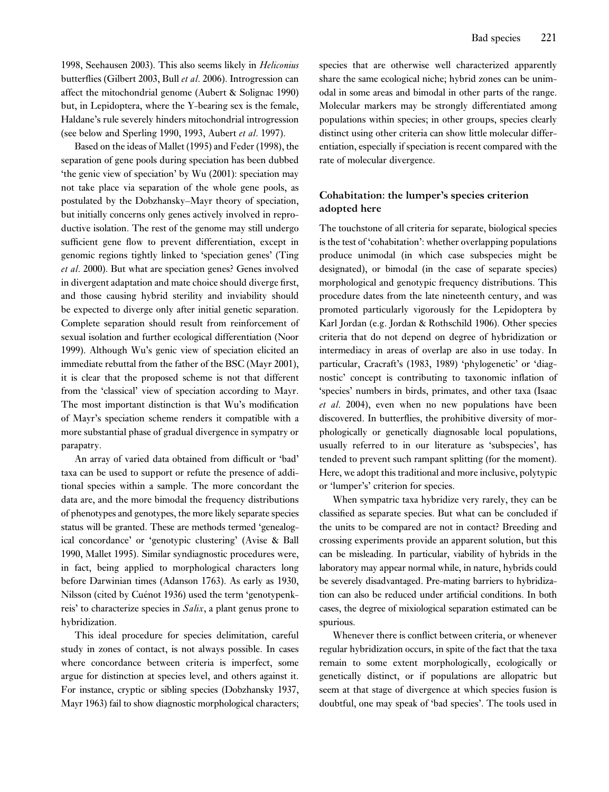1998, Seehausen 2003). This also seems likely in Heliconius butterflies (Gilbert 2003, Bull et al. 2006). Introgression can affect the mitochondrial genome (Aubert & Solignac 1990) but, in Lepidoptera, where the Y-bearing sex is the female, Haldane's rule severely hinders mitochondrial introgression (see below and Sperling 1990, 1993, Aubert et al. 1997).

Based on the ideas of Mallet (1995) and Feder (1998), the separation of gene pools during speciation has been dubbed 'the genic view of speciation' by Wu (2001): speciation may not take place via separation of the whole gene pools, as postulated by the Dobzhansky–Mayr theory of speciation, but initially concerns only genes actively involved in reproductive isolation. The rest of the genome may still undergo sufficient gene flow to prevent differentiation, except in genomic regions tightly linked to 'speciation genes' (Ting et al. 2000). But what are speciation genes? Genes involved in divergent adaptation and mate choice should diverge first, and those causing hybrid sterility and inviability should be expected to diverge only after initial genetic separation. Complete separation should result from reinforcement of sexual isolation and further ecological differentiation (Noor 1999). Although Wu's genic view of speciation elicited an immediate rebuttal from the father of the BSC (Mayr 2001), it is clear that the proposed scheme is not that different from the 'classical' view of speciation according to Mayr. The most important distinction is that Wu's modification of Mayr's speciation scheme renders it compatible with a more substantial phase of gradual divergence in sympatry or parapatry.

An array of varied data obtained from difficult or 'bad' taxa can be used to support or refute the presence of additional species within a sample. The more concordant the data are, and the more bimodal the frequency distributions of phenotypes and genotypes, the more likely separate species status will be granted. These are methods termed 'genealogical concordance' or 'genotypic clustering' (Avise & Ball 1990, Mallet 1995). Similar syndiagnostic procedures were, in fact, being applied to morphological characters long before Darwinian times (Adanson 1763). As early as 1930, Nilsson (cited by Cuénot 1936) used the term 'genotypenkreis' to characterize species in Salix, a plant genus prone to hybridization.

This ideal procedure for species delimitation, careful study in zones of contact, is not always possible. In cases where concordance between criteria is imperfect, some argue for distinction at species level, and others against it. For instance, cryptic or sibling species (Dobzhansky 1937, Mayr 1963) fail to show diagnostic morphological characters;

species that are otherwise well characterized apparently share the same ecological niche; hybrid zones can be unimodal in some areas and bimodal in other parts of the range. Molecular markers may be strongly differentiated among populations within species; in other groups, species clearly distinct using other criteria can show little molecular differentiation, especially if speciation is recent compared with the rate of molecular divergence.

## Cohabitation: the lumper's species criterion adopted here

The touchstone of all criteria for separate, biological species is the test of 'cohabitation': whether overlapping populations produce unimodal (in which case subspecies might be designated), or bimodal (in the case of separate species) morphological and genotypic frequency distributions. This procedure dates from the late nineteenth century, and was promoted particularly vigorously for the Lepidoptera by Karl Jordan (e.g. Jordan & Rothschild 1906). Other species criteria that do not depend on degree of hybridization or intermediacy in areas of overlap are also in use today. In particular, Cracraft's (1983, 1989) 'phylogenetic' or 'diagnostic' concept is contributing to taxonomic inflation of 'species' numbers in birds, primates, and other taxa (Isaac et al. 2004), even when no new populations have been discovered. In butterflies, the prohibitive diversity of morphologically or genetically diagnosable local populations, usually referred to in our literature as 'subspecies', has tended to prevent such rampant splitting (for the moment). Here, we adopt this traditional and more inclusive, polytypic or 'lumper's' criterion for species.

When sympatric taxa hybridize very rarely, they can be classified as separate species. But what can be concluded if the units to be compared are not in contact? Breeding and crossing experiments provide an apparent solution, but this can be misleading. In particular, viability of hybrids in the laboratory may appear normal while, in nature, hybrids could be severely disadvantaged. Pre-mating barriers to hybridization can also be reduced under artificial conditions. In both cases, the degree of mixiological separation estimated can be spurious.

Whenever there is conflict between criteria, or whenever regular hybridization occurs, in spite of the fact that the taxa remain to some extent morphologically, ecologically or genetically distinct, or if populations are allopatric but seem at that stage of divergence at which species fusion is doubtful, one may speak of 'bad species'. The tools used in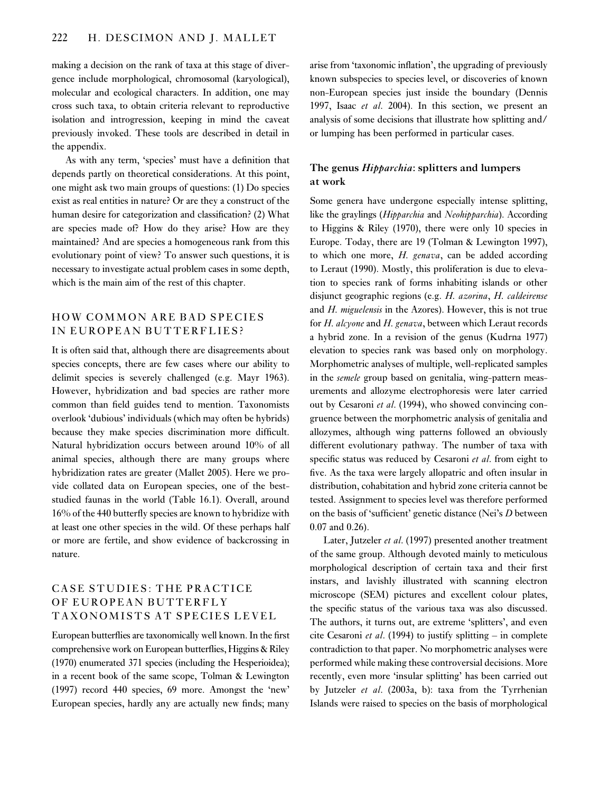making a decision on the rank of taxa at this stage of divergence include morphological, chromosomal (karyological), molecular and ecological characters. In addition, one may cross such taxa, to obtain criteria relevant to reproductive isolation and introgression, keeping in mind the caveat previously invoked. These tools are described in detail in the appendix.

As with any term, 'species' must have a definition that depends partly on theoretical considerations. At this point, one might ask two main groups of questions: (1) Do species exist as real entities in nature? Or are they a construct of the human desire for categorization and classification? (2) What are species made of? How do they arise? How are they maintained? And are species a homogeneous rank from this evolutionary point of view? To answer such questions, it is necessary to investigate actual problem cases in some depth, which is the main aim of the rest of this chapter.

### HOW COMMON ARE BAD SPECIES IN EUROPEAN BUTTERFLIES?

It is often said that, although there are disagreements about species concepts, there are few cases where our ability to delimit species is severely challenged (e.g. Mayr 1963). However, hybridization and bad species are rather more common than field guides tend to mention. Taxonomists overlook 'dubious' individuals (which may often be hybrids) because they make species discrimination more difficult. Natural hybridization occurs between around 10% of all animal species, although there are many groups where hybridization rates are greater (Mallet 2005). Here we provide collated data on European species, one of the beststudied faunas in the world (Table 16.1). Overall, around 16% of the 440 butterfly species are known to hybridize with at least one other species in the wild. Of these perhaps half or more are fertile, and show evidence of backcrossing in nature.

## CASE STUDIES: THE PRACTICE OF EUROPEAN BUTTERFLY TAXONOMISTS AT SPECIES LEVEL

European butterflies are taxonomically well known. In the first comprehensive work on European butterflies, Higgins & Riley (1970) enumerated 371 species (including the Hesperioidea); in a recent book of the same scope, Tolman & Lewington (1997) record 440 species, 69 more. Amongst the 'new' European species, hardly any are actually new finds; many arise from 'taxonomic inflation', the upgrading of previously known subspecies to species level, or discoveries of known non-European species just inside the boundary (Dennis 1997, Isaac et al. 2004). In this section, we present an analysis of some decisions that illustrate how splitting and/ or lumping has been performed in particular cases.

## The genus *Hipparchia*: splitters and lumpers at work

Some genera have undergone especially intense splitting, like the graylings (Hipparchia and Neohipparchia). According to Higgins & Riley (1970), there were only 10 species in Europe. Today, there are 19 (Tolman & Lewington 1997), to which one more, H. genava, can be added according to Leraut (1990). Mostly, this proliferation is due to elevation to species rank of forms inhabiting islands or other disjunct geographic regions (e.g. H. azorina, H. caldeirense and H. miguelensis in the Azores). However, this is not true for H. alcyone and H. genava, between which Leraut records a hybrid zone. In a revision of the genus (Kudrna 1977) elevation to species rank was based only on morphology. Morphometric analyses of multiple, well-replicated samples in the semele group based on genitalia, wing-pattern measurements and allozyme electrophoresis were later carried out by Cesaroni et al. (1994), who showed convincing congruence between the morphometric analysis of genitalia and allozymes, although wing patterns followed an obviously different evolutionary pathway. The number of taxa with specific status was reduced by Cesaroni et al. from eight to five. As the taxa were largely allopatric and often insular in distribution, cohabitation and hybrid zone criteria cannot be tested. Assignment to species level was therefore performed on the basis of 'sufficient' genetic distance (Nei's D between 0.07 and 0.26).

Later, Jutzeler et al. (1997) presented another treatment of the same group. Although devoted mainly to meticulous morphological description of certain taxa and their first instars, and lavishly illustrated with scanning electron microscope (SEM) pictures and excellent colour plates, the specific status of the various taxa was also discussed. The authors, it turns out, are extreme 'splitters', and even cite Cesaroni *et al.* (1994) to justify splitting – in complete contradiction to that paper. No morphometric analyses were performed while making these controversial decisions. More recently, even more 'insular splitting' has been carried out by Jutzeler et al. (2003a, b): taxa from the Tyrrhenian Islands were raised to species on the basis of morphological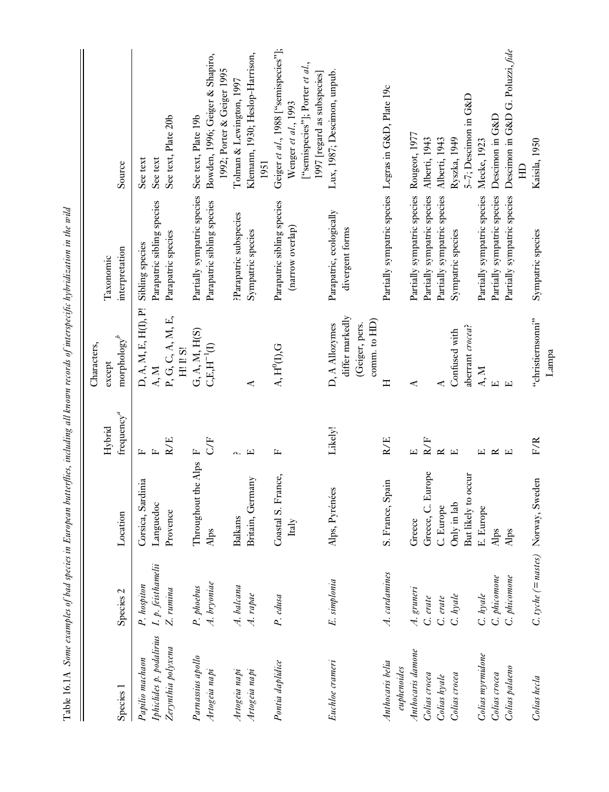|                                 |                       |                     |                                                                                                                                                                                                                                                                                                                                                                                                                                                                                                                                                                              | Characters,                                       |                                                      |                                                                                       |
|---------------------------------|-----------------------|---------------------|------------------------------------------------------------------------------------------------------------------------------------------------------------------------------------------------------------------------------------------------------------------------------------------------------------------------------------------------------------------------------------------------------------------------------------------------------------------------------------------------------------------------------------------------------------------------------|---------------------------------------------------|------------------------------------------------------|---------------------------------------------------------------------------------------|
| Species 1                       | Species 2             | Location            | frequency <sup>a</sup><br>Hybrid                                                                                                                                                                                                                                                                                                                                                                                                                                                                                                                                             | morphology $\!\!\!{}^{\!\rho}$<br>except          | interpretation<br>Taxonomic                          | Source                                                                                |
| Papilio machaon                 | P. hospiton           | Corsica, Sardinia   | Ĺ.                                                                                                                                                                                                                                                                                                                                                                                                                                                                                                                                                                           | D, A, M, E, H(I), P!                              | Sibling species                                      | See text                                                                              |
| Iphiclides p. podalirius        | I. p. feisthamelii    | Languedoc           | $\mathbf{L}$                                                                                                                                                                                                                                                                                                                                                                                                                                                                                                                                                                 | A, M                                              | Parapatric sibling species                           | See text                                                                              |
| Zerynthia polyxena              | Z. runina             | Provence            | R/E                                                                                                                                                                                                                                                                                                                                                                                                                                                                                                                                                                          | P, G, G, A, M, E,<br>HI II SI                     | Parapatric species                                   | See text, Plate 20b                                                                   |
| Parnassius apollo               | P. phoebus            | Throughout the Alps | $\mathbf{L}$                                                                                                                                                                                                                                                                                                                                                                                                                                                                                                                                                                 | G, A, M, H(S)                                     | Partially sympatric species                          | See text, Plate 19b                                                                   |
| Artogeia napi                   | A. bryoniae           | Alps                | UF                                                                                                                                                                                                                                                                                                                                                                                                                                                                                                                                                                           | $\mathsf{C}\textsc{E}\mathsf{H}^{-1}(\mathsf{I})$ | Parapatric sibling species                           | Bowden, 1996; Geiger & Shapiro,<br>1992; Porter & Geiger 1995                         |
| Artogeia napi                   | A. balcana            | Balkans             | Λ.                                                                                                                                                                                                                                                                                                                                                                                                                                                                                                                                                                           |                                                   | Parapatric subspecies                                | Tolman & Lewington, 1997                                                              |
| Artogeia napi                   | A. rapae              | Britain, Germany    | $\begin{bmatrix} \mathbf{r} \end{bmatrix}$                                                                                                                                                                                                                                                                                                                                                                                                                                                                                                                                   | ⋖                                                 | Sympatric species                                    | Klemann, 1930; Heslop-Harrison,<br>1951                                               |
| Pontia daplidice                | P. edusa              | Coastal S. France,  | 山                                                                                                                                                                                                                                                                                                                                                                                                                                                                                                                                                                            | A, H <sup>0</sup> (I), G                          | Parapatric sibling species                           | Geiger et al., 1988 ["semispecies"];                                                  |
|                                 |                       | Italy               |                                                                                                                                                                                                                                                                                                                                                                                                                                                                                                                                                                              |                                                   | (narrow overlap)                                     | ["semispecies"]; Porter et al.,<br>1997 [regard as subspecies]<br>Wenger et al., 1993 |
| Euchloe crameri                 | E. simplonia          | Alps, Pyrénées      | Likely!                                                                                                                                                                                                                                                                                                                                                                                                                                                                                                                                                                      | D, A Allozymes                                    | Parapatric, ecologically                             | Lux, 1987; Descimon, unpub.                                                           |
|                                 |                       |                     |                                                                                                                                                                                                                                                                                                                                                                                                                                                                                                                                                                              | differ markedly<br>comm. to HD)<br>(Geiger, pers. | divergent forms                                      |                                                                                       |
| Anthocaris belia<br>euphenoides | A. cardamines         | S. France, Spain    | R/E                                                                                                                                                                                                                                                                                                                                                                                                                                                                                                                                                                          | Ξ                                                 | Partially sympatric species Legras in G&D, Plate 19c |                                                                                       |
| Anthocaris damone               | A. gruneri            | Greece              | $\overline{E}$                                                                                                                                                                                                                                                                                                                                                                                                                                                                                                                                                               | ⋖                                                 | Partially sympatric species Rougeot, 1977            |                                                                                       |
| Colias crocea                   | C. erate              | Greece, C. Europe   | R/F                                                                                                                                                                                                                                                                                                                                                                                                                                                                                                                                                                          |                                                   | Partially sympatric species                          | Alberti, 1943                                                                         |
| Colias hyale                    | C. erate              | C. Europe           | $\approx$                                                                                                                                                                                                                                                                                                                                                                                                                                                                                                                                                                    | ⋖                                                 | Partially sympatric species                          | Alberti, 1943                                                                         |
| Colias crocea                   | $C.$ hyale            | Only in lab         | $\boxed{\underline{\phantom{a}}}% =\qquad \qquad \underline{\phantom{a}}% =\qquad \qquad \underline{\phantom{a}}% =\qquad \qquad \underline{\phantom{a}}% =\qquad \qquad \underline{\phantom{a}}% =\qquad \qquad \underline{\phantom{a}}% =\qquad \qquad \underline{\phantom{a}}% =\qquad \qquad \underline{\phantom{a}}% =\qquad \qquad \underline{\phantom{a}}% =\qquad \qquad \underline{\phantom{a}}% =\qquad \qquad \underline{\phantom{a}}% =\qquad \qquad \underline{\phantom{a}}% =\qquad \qquad \underline{\phantom{a}}% =\qquad \qquad \underline{\phantom{a}}% =$ | Confused with                                     | Sympatric species                                    | Ryszka, 1949                                                                          |
|                                 |                       | But likely to occur |                                                                                                                                                                                                                                                                                                                                                                                                                                                                                                                                                                              | aberrant crocea?                                  |                                                      | 5-7; Descimon in G&D                                                                  |
| Colias myrmidone                | C. hyale              | E. Europe           | $\overline{r}$                                                                                                                                                                                                                                                                                                                                                                                                                                                                                                                                                               | A, M                                              | Partially sympatric species                          | Mecke, 1923                                                                           |
| Colias crocea                   | C. phicomone          | $\rm{Alps}$         | $\approx$                                                                                                                                                                                                                                                                                                                                                                                                                                                                                                                                                                    |                                                   | Partially sympatric species Descimon in G&D          |                                                                                       |
| Colias palaeno                  | C. phicomone          | $\rm{Aips}$         | $\boxed{\underline{\phantom{a}}}% =\qquad\qquad \underline{\phantom{a}}}% =\qquad\qquad \underline{\phantom{a}}}% =\qquad\qquad \underline{\phantom{a}}}% =\qquad\qquad \underline{\phantom{a}}}% =\qquad\qquad \underline{\phantom{a}}}% =\qquad\qquad \underline{\phantom{a}}}% =\qquad\qquad \underline{\phantom{a}}}% =\qquad\qquad \underline{\phantom{a}}}% =\qquad\qquad \underline{\phantom{a}}}% =\qquad\qquad \underline{\phantom{a}}}% =\qquad\qquad \underline{\phantom{a}}}% =\qquad\qquad \underline{\phantom{a}}}% =\qquad\qquad \underline{\phantom{a}}}% =$ | $\boxed{\underline{\mathbf{L}}}$                  | Partially sympatric species                          | Descimon in G&D G. Poluzzi, fide                                                      |
|                                 |                       |                     |                                                                                                                                                                                                                                                                                                                                                                                                                                                                                                                                                                              |                                                   |                                                      | EH                                                                                    |
| Colias hecla                    | $C.$ tyche (= nastes) | Norway, Sweden      | F/R                                                                                                                                                                                                                                                                                                                                                                                                                                                                                                                                                                          | "christiernsonni"<br>Lampa                        | Sympatric species                                    | Kaisila, 1950                                                                         |

Table 16.1A Some examples of bad species in European butterflies, including all known records of interspecific hybridization in the wild Table 16.1A Some examples of bad species in European butterflies, including all known records of interspecific hybridization in the wild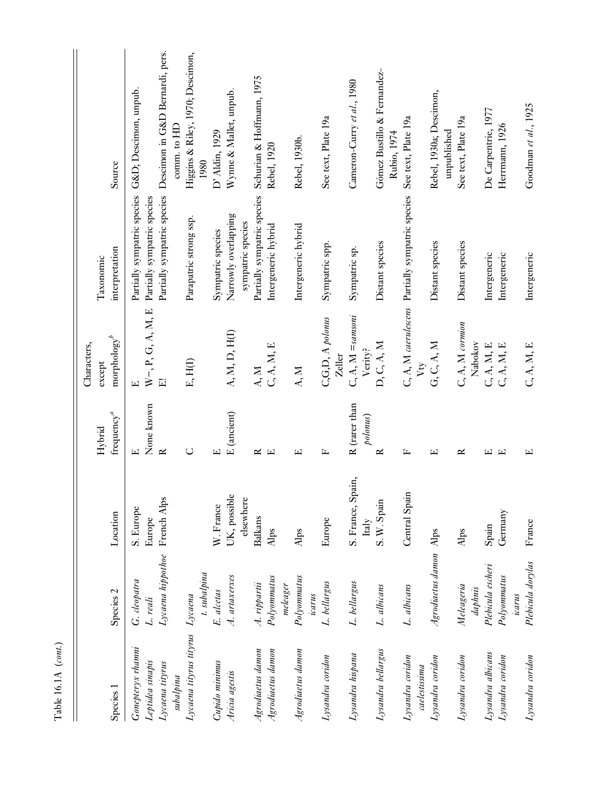| m           |  |
|-------------|--|
| Table 16.1A |  |

 $\parallel$ 

|                                   |                       |                   |                           | Characters,                                       |                                                  |                                                             |
|-----------------------------------|-----------------------|-------------------|---------------------------|---------------------------------------------------|--------------------------------------------------|-------------------------------------------------------------|
|                                   |                       |                   | Hybrid                    | except                                            | Taxonomic                                        |                                                             |
| Species 1                         | Species 2             | Location          | frequency $\phantom{i}^a$ | morphology $\iota$                                | interpretation                                   | Source                                                      |
| Gonepteryx rhamni                 | G. cleopatra          | S. Europe         | 凵                         | $\mathbf{r}$                                      | Partially sympatric species                      | G&D Descimon, unpub.                                        |
| Leptidea sinapis                  | L. reali              | Europe            | None known                | $W-, P, G, A, M, E$                               | Partially sympatric species                      |                                                             |
| Lycaena tityrus                   | $Lycaena$ hippothoe   | French Alps       | ≃                         | 靣                                                 |                                                  | Partially sympatric species Descimon in G&D Bernardi, pers. |
| subalpina                         |                       |                   |                           |                                                   |                                                  | comm. to HD                                                 |
| Lycaena tityrus tityrus Lycaena   |                       |                   | U                         | E, H(I)                                           | Parapatric strong ssp.                           | Higgins & Riley, 1970; Descimon,                            |
|                                   | t. subalpina          |                   |                           |                                                   |                                                  | 1980                                                        |
| Cupido minimus                    | E. alcetas            | W. France         | 띄                         |                                                   | Sympatric species                                | D' Aldin, 1929                                              |
| Aricia agestis                    | A. artaxerxes         | UK, possible      | E (ancient)               | A, M, D, H(I)                                     | Narrowly overlapping                             | Wynne & Mallet, unpub.                                      |
|                                   |                       | elsewhere         |                           |                                                   | sympatric species                                |                                                             |
| Agrodiaetus damon                 | A. rippartii          | Balkans           | ≃                         | A, M                                              | Partially sympatric species                      | Schurian & Hoffmann, 1975                                   |
| Agrodiaetus damon                 | Polyommatus           | $\rm{Alps}$       | $\boxed{\phantom{1}}$     | C, A, M, E                                        | Intergeneric hybrid                              | Rebel, 1920                                                 |
|                                   | meleager              |                   |                           |                                                   |                                                  |                                                             |
| Agrodiaetus damon                 | Polyonmatus           | Alps              | 凵                         | A, M                                              | Intergeneric hybrid                              | Rebel, 1930b.                                               |
|                                   | icarus                |                   |                           |                                                   |                                                  |                                                             |
| Lysandra coridon                  | L. bellargus          | Europe            | 山                         | C,G,D, A polonus<br>Zeller                        | Sympatric spp.                                   | See text, Plate 19a                                         |
| Lysandra hispana                  | L. bellargus          | S. France, Spain, | R (rarer than             | $C, A, M =$ samsoni                               | Sympatric sp.                                    | Cameron-Curry et al., 1980                                  |
|                                   |                       | Italy             | polonus)                  | Verity?                                           |                                                  |                                                             |
| Lysandra bellargus                | L. albicans           | S.W. Spain        | ≃                         | D, C, A, M                                        | Distant species                                  | Gómez Bustillo & Fernandez-<br>Rubio, 1974                  |
| Lysandra coridon<br>caelestissima | L. albicans           | Central Spain     | ſ.                        | Vtv                                               | C, A, M caerulescens Partially sympatric species | See text, Plate 19a                                         |
| Lysandra coridon                  | Agrodiaetus damon     | Alps              | 띄                         | $\mathcal{G},\mathcal{C},\mathcal{A},\mathcal{M}$ | Distant species                                  | Rebel, 1930a; Descimon,                                     |
|                                   |                       |                   |                           |                                                   |                                                  | unpublished                                                 |
| Lysandra coridon                  | Meleageria<br>daphnis | Alps              | ≃                         | C, A, M cormion<br>Nabokov                        | Distant species                                  | See text, Plate 19a                                         |
| Lysandra albicans                 | Plebicula escheri     | Spain             | 띄                         | C, A, M, E                                        | Intergeneric                                     | De Carpentrie, 1977                                         |
| Lysandra coridon                  | Polyonnatus           | Germany           | 凵                         | $\mathsf{C}, \mathsf{A}, \mathsf{M}, \mathsf{E}$  | Intergeneric                                     | Herrmann, 1926                                              |
|                                   | icarus                |                   |                           |                                                   |                                                  |                                                             |
| Lysandra coridon                  | Plebicula dorylas     | France            | 띄                         | C, A, M, E                                        | Intergeneric                                     | Goodman et al., 1925                                        |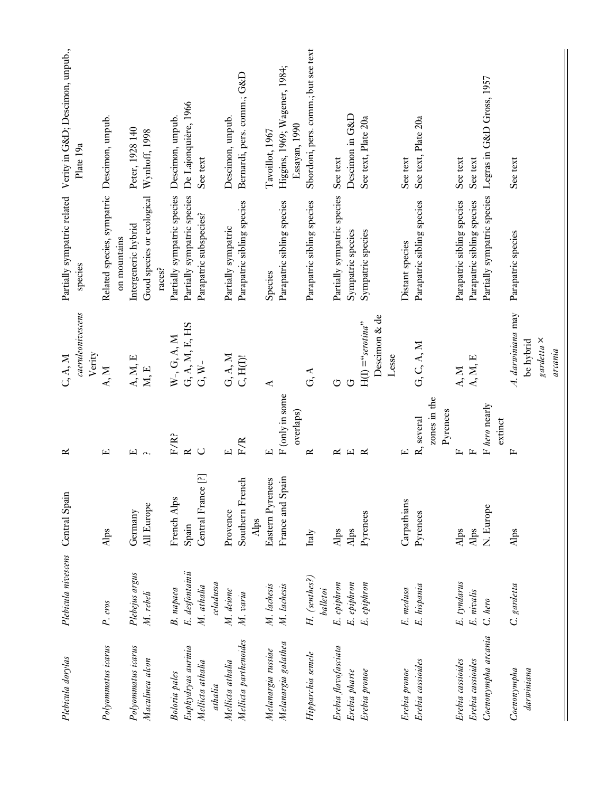| Plebicula dorylas     | Plebicula nivescens              | Central Spain                 | ≃                                                                                                                                                                                                                                                                                                                                                                                                                                                                                                                                                                                                                                                                | C, A, M                              | Partially sympatric related                 | Verity in G&D Descimon, unpub.,     |
|-----------------------|----------------------------------|-------------------------------|------------------------------------------------------------------------------------------------------------------------------------------------------------------------------------------------------------------------------------------------------------------------------------------------------------------------------------------------------------------------------------------------------------------------------------------------------------------------------------------------------------------------------------------------------------------------------------------------------------------------------------------------------------------|--------------------------------------|---------------------------------------------|-------------------------------------|
|                       |                                  |                               |                                                                                                                                                                                                                                                                                                                                                                                                                                                                                                                                                                                                                                                                  | caeruleonivescens                    | species                                     | Plate 19a                           |
|                       |                                  |                               |                                                                                                                                                                                                                                                                                                                                                                                                                                                                                                                                                                                                                                                                  | Verity                               |                                             |                                     |
| Polyommatus icarus    | P. eros                          | Alps                          | $\mathbf{r}$                                                                                                                                                                                                                                                                                                                                                                                                                                                                                                                                                                                                                                                     | A, M                                 | Related species, sympatric Descimon, unpub. |                                     |
|                       |                                  |                               |                                                                                                                                                                                                                                                                                                                                                                                                                                                                                                                                                                                                                                                                  |                                      | on mountains                                |                                     |
| Polyommatus icarus    | Plebejus argus                   | Germany                       | ല പ                                                                                                                                                                                                                                                                                                                                                                                                                                                                                                                                                                                                                                                              | A, M, E                              | Intergeneric hybrid                         | Peter, 1928 140                     |
| Maculinea alcon       | M. rebeli                        | All Europe                    |                                                                                                                                                                                                                                                                                                                                                                                                                                                                                                                                                                                                                                                                  | M, E                                 | Good species or ecological Wynhoff, 1998    |                                     |
|                       |                                  |                               |                                                                                                                                                                                                                                                                                                                                                                                                                                                                                                                                                                                                                                                                  |                                      | races?                                      |                                     |
| Boloria pales         | B. napaea                        | French Alps                   | F/R?                                                                                                                                                                                                                                                                                                                                                                                                                                                                                                                                                                                                                                                             | $W$ -, G, A, M                       | Partially sympatric species                 | Descimon, unpub.                    |
| Euphydryas aurinia    | E. desfontainii                  | Spain                         | ≃                                                                                                                                                                                                                                                                                                                                                                                                                                                                                                                                                                                                                                                                | G, A, M, E, HS                       | Partially sympatric species                 | De Lajonquière, 1966                |
| Mellicta athalia      | M. athalia                       | Central France <sup>[?]</sup> | U                                                                                                                                                                                                                                                                                                                                                                                                                                                                                                                                                                                                                                                                | $G, W-$                              | Parapatric subspecies?                      | See text                            |
| athalia               | celadussa                        |                               |                                                                                                                                                                                                                                                                                                                                                                                                                                                                                                                                                                                                                                                                  |                                      |                                             |                                     |
| Mellicta athalia      | M. deione                        | Provence                      | $\boxed{\phantom{1}}$                                                                                                                                                                                                                                                                                                                                                                                                                                                                                                                                                                                                                                            | G, A, M                              | Partially sympatric                         | Descimon, unpub.                    |
| Mellicta parthenoides | M. varia                         | Southern French               | F/R                                                                                                                                                                                                                                                                                                                                                                                                                                                                                                                                                                                                                                                              | C, H(I)!                             | Parapatric sibling species                  | Bernardi, pers. comm.; G&D          |
|                       |                                  | Alps                          |                                                                                                                                                                                                                                                                                                                                                                                                                                                                                                                                                                                                                                                                  |                                      |                                             |                                     |
| Melanargia russiae    | M. lachesis                      | Eastern Pyrenees              | $\Box$                                                                                                                                                                                                                                                                                                                                                                                                                                                                                                                                                                                                                                                           | A                                    | Species                                     | Tavoillot, 1967                     |
| Melanargia galathea   | M. lachesis                      | France and Spain              | F (only in some                                                                                                                                                                                                                                                                                                                                                                                                                                                                                                                                                                                                                                                  |                                      | Parapatric sibling species                  | Higgins, 1969; Wagener, 1984;       |
|                       |                                  |                               | overlaps)                                                                                                                                                                                                                                                                                                                                                                                                                                                                                                                                                                                                                                                        |                                      |                                             | Essayan, 1990                       |
| Hipparchia semele     | H. (senthes?)<br><b>balletoi</b> | Italy                         | ≃                                                                                                                                                                                                                                                                                                                                                                                                                                                                                                                                                                                                                                                                | G, A                                 | Parapatric sibling species                  | Sbordoni, pers. comm.; but see text |
| Erebia flavofasciata  | E. epiphron                      | Alps                          | ≃                                                                                                                                                                                                                                                                                                                                                                                                                                                                                                                                                                                                                                                                | O                                    | Partially sympatric species                 | See text                            |
| Erebia pharte         | E. epiphron                      | $_{\rm{Aips}}$                | $\boxed{\underline{\phantom{a}}\underline{\phantom{a}}\underline{\phantom{a}}\underline{\phantom{a}}\underline{\phantom{a}}\underline{\phantom{a}}\underline{\phantom{a}}\underline{\phantom{a}}\underline{\phantom{a}}\underline{\phantom{a}}\underline{\phantom{a}}\underline{\phantom{a}}\underline{\phantom{a}}\underline{\phantom{a}}\underline{\phantom{a}}\underline{\phantom{a}}\underline{\phantom{a}}\underline{\phantom{a}}\underline{\phantom{a}}\underline{\phantom{a}}\underline{\phantom{a}}\underline{\phantom{a}}\underline{\phantom{a}}\underline{\phantom{a}}\underline{\phantom{a}}\underline{\phantom{a}}\underline{\phantom{a}}\underline$ | O                                    | Sympatric species                           | Descimon in G&D                     |
| Erebia pronoe         | $E.$ epiphron                    | Pyrenees                      | $\approx$                                                                                                                                                                                                                                                                                                                                                                                                                                                                                                                                                                                                                                                        | $H(I) = "serving"$                   | Sympatric species                           | See text, Plate 20a                 |
|                       |                                  |                               |                                                                                                                                                                                                                                                                                                                                                                                                                                                                                                                                                                                                                                                                  | Descimon & de                        |                                             |                                     |
| Erebia pronoe         | E. medusa                        | Carpathians                   | 띠                                                                                                                                                                                                                                                                                                                                                                                                                                                                                                                                                                                                                                                                | Lesse                                | Distant species                             | See text                            |
| Erebia cassioides     | E. hispania                      | $P$ yrenees                   | R, several                                                                                                                                                                                                                                                                                                                                                                                                                                                                                                                                                                                                                                                       | G, C, A, M                           | Parapatric sibling species                  | See text, Plate 20a                 |
|                       |                                  |                               | zones in the<br>Pyrenees                                                                                                                                                                                                                                                                                                                                                                                                                                                                                                                                                                                                                                         |                                      |                                             |                                     |
| Erebia cassioides     | E. tyndarus                      | Alps                          | 匞                                                                                                                                                                                                                                                                                                                                                                                                                                                                                                                                                                                                                                                                | A, M                                 | Parapatric sibling species                  | See text                            |
| Erebia cassioides     | E. nivalis                       | $_{\rm{Aips}}$                | 匞                                                                                                                                                                                                                                                                                                                                                                                                                                                                                                                                                                                                                                                                | $\mathbf{A}, \mathbf{M}, \mathbf{E}$ | Parapatric sibling species                  | See text                            |
| Coenonympha arcania   | C. hero                          | N. Europe                     | F hero nearly<br>extinct                                                                                                                                                                                                                                                                                                                                                                                                                                                                                                                                                                                                                                         |                                      | Partially sympatric species                 | Legras in G&D Gross, 1957           |
| Coenonympha           | C. gardetta                      | Alps                          | ⊡                                                                                                                                                                                                                                                                                                                                                                                                                                                                                                                                                                                                                                                                | A. darwiniana may                    | Parapatric species                          | See text                            |
| darwiniana            |                                  |                               |                                                                                                                                                                                                                                                                                                                                                                                                                                                                                                                                                                                                                                                                  | gardetta ×<br>be hybrid<br>arcania   |                                             |                                     |
|                       |                                  |                               |                                                                                                                                                                                                                                                                                                                                                                                                                                                                                                                                                                                                                                                                  |                                      |                                             |                                     |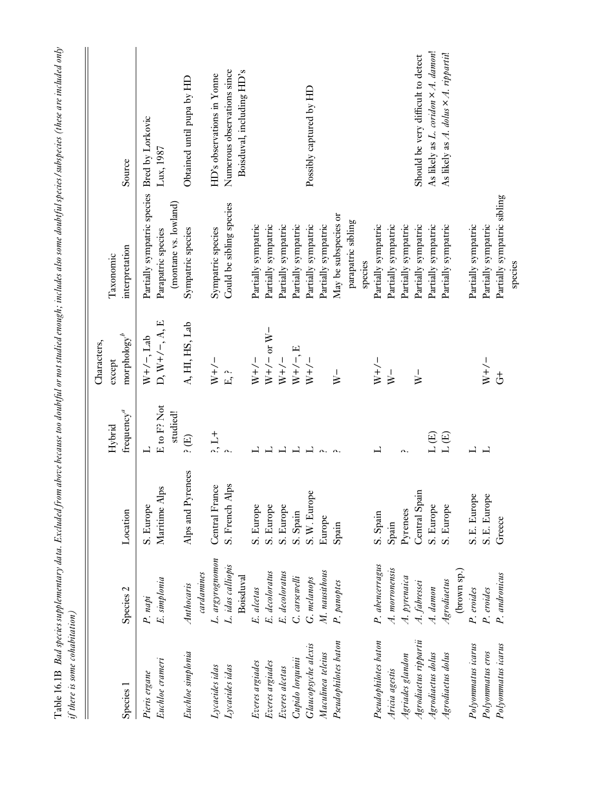|                       |                   |                   |                                  | Characters,                  |                                              |                                              |
|-----------------------|-------------------|-------------------|----------------------------------|------------------------------|----------------------------------------------|----------------------------------------------|
| Species 1             | Species 2         | Location          | frequency <sup>a</sup><br>Hybrid | morphology $\iota$<br>except | interpretation<br>Taxonomic                  | Source                                       |
| Pieris ergane         | $P.$ napi         | S. Europe         |                                  | $W+/-$ , Lab                 | Partially sympatric species Bred by Lorkovic |                                              |
| Euchloe crameri       | E. simplonia      | Maritime Alps     | E to F? Not                      | D, $W+/-, A, E$              | Parapatric species                           | Lux, 1987                                    |
|                       |                   |                   | studied!                         |                              | (montane vs. lowland)                        |                                              |
| Euchloe simplonia     | Anthocaris        | Alps and Pyrenees | $\widetilde{E}$                  | A, HI, HS, Lab               | Sympatric species                            | Obtained until pupa by HD                    |
|                       | cardamines        |                   |                                  |                              |                                              |                                              |
| Lycaeides idas        | L. argyrognomon   | Central France    |                                  | $W+/-$                       | Sympatric species                            | HD's observations in Yonne                   |
| Lycaeides idas        | L. idas calliopis | S. French Alps    | $\frac{1}{n}$ .                  | .<br>ਸੰ                      | Could be sibling species                     | Numerous observations since                  |
|                       | Boisduval         |                   |                                  |                              |                                              | Boisduval, including HD's                    |
| Everes argiades       | E. alcetas        | S. Europe         |                                  | $W+/-$                       | Partially sympatric                          |                                              |
| Everes argiades       | E. decoloratus    | S. Europe         |                                  | $W^+/-$ or $W^-$             | Partially sympatric                          |                                              |
| Everes alcetas        | E. decoloratus    | S. Europe         | ᅴ                                | $W+/-$                       | Partially sympatric                          |                                              |
| Cupido lorquinii      | C. carsewelli     | S. Spain          | $\overline{\phantom{0}}$         | $W+/-, E$                    | Partially sympatric                          |                                              |
| Glaucopsyche alexis   | G. melanops       | S.W. Europe       | ᅴ                                | $W+/-$                       | Partially sympatric                          | Possibly captured by HD                      |
| Maculinea teleius     | M. nausithous     | Europe            |                                  |                              | Partially sympatric                          |                                              |
| Pseudophilotes baton  | P. panoptes       | Spain             |                                  | ≽                            | May be subspecies or                         |                                              |
|                       |                   |                   |                                  |                              | parapatric sibling                           |                                              |
|                       |                   |                   |                                  |                              | species                                      |                                              |
| Pseudophilotes baton  | P. abencerragus   | S. Spain          | ┙                                | $W+/-$                       | Partially sympatric                          |                                              |
| Aricia agestis        | A. morronensis    | Spain             |                                  | $\overline{\mathbf{x}}$      | Partially sympatric                          |                                              |
| Agriades glandon      | A. pyrenaica      | Pyrenees          |                                  |                              | Partially sympatric                          |                                              |
| Agrodiaetus rippartii | $A.$ fabressei    | Central Spain     |                                  | ≽                            | Partially sympatric                          | Should be very difficult to detect           |
| Agrodiaetus dolus     | A. damon          | S. Europe         | LE)                              |                              | Partially sympatric                          | As likely as $L.$ coridon $\times A.$ damon! |
| Agrodiaetus dolus     | Agrodiaetus       | S. Europe         | ${\mathbb L}$ $({\mathbb E})$    |                              | Partially sympatric                          | As likely as A. dolus $\times$ A. rippartii. |
|                       | (brown sp.)       |                   |                                  |                              |                                              |                                              |
| Polyommatus icarus    | P. eroides        | S.E. Europe       | 凵                                |                              | Partially sympatric                          |                                              |
| Polyommatus eros      | P. eroides        | S.E. Europe       | $\overline{a}$                   | $W+/-$                       | Partially sympatric                          |                                              |
| Polyommatus icarus    | P. andronicus     | Greece            |                                  | $\ddot{5}$                   | Partially sympatric sibling                  |                                              |
|                       |                   |                   |                                  |                              | species                                      |                                              |

Table 16.1B Bad species supplementary data. Excluded from above because too doubtful or not studied enough; includes also some doubtful species/subspecies (these are included only Table 16.1B Bad species supplementary data. Excluded from above because too doubtful or not studied enough; includes also some doubtful species/subspecies (these are included only if there is some cohabitation) if there is some cohabitation)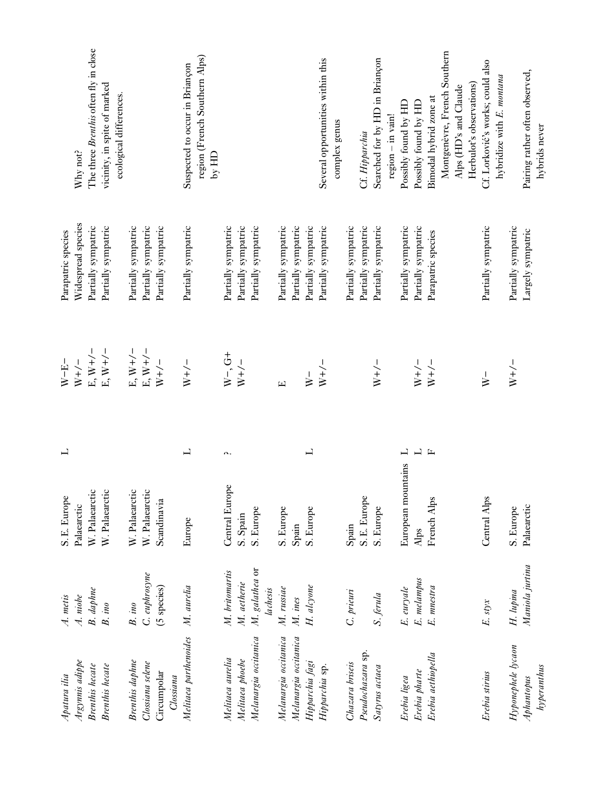| Apatura ilia                              | A. metis                     | S.E. Europe                   | 山                        | W-E-                    | Parapatric species                        |                                                                          |
|-------------------------------------------|------------------------------|-------------------------------|--------------------------|-------------------------|-------------------------------------------|--------------------------------------------------------------------------|
| Argynnis adippe<br><b>Brenthis</b> hecate | <b>B.</b> daphne<br>A. niobe | W. Palaearctic<br>Palaearctic |                          | $E, W+/-$<br>$W+/-$     | Widespread species<br>Partially sympatric | The three Brenthis often fly in close<br>Why not?                        |
| <b>Brenthis</b> hecate                    | $B.$ ino                     | W. Palaearctic                |                          | $E, W+/-$               | Partially sympatric                       | vicinity, in spite of marked                                             |
| Brenthis daphne                           | $B.$ ino                     | W. Palaearctic                |                          | E, $W+/-$               | Partially sympatric                       | ecological differences.                                                  |
| Clossiana selene                          | C. euphrosyne                | W. Palaearctic                |                          | E, $W+/-$               | Partially sympatric                       |                                                                          |
| Circumpolar<br>Closiana                   | (5 species)                  | Scandinavia                   |                          | $W+/-$                  | Partially sympatric                       |                                                                          |
| Melitaea parthenoides M. aurelia          |                              | Europe                        | $\overline{a}$           | $W+/-$                  | Partially sympatric                       | region (French Southern Alps)<br>Suspected to occur in Briançon<br>by HD |
| Melitaea aurelia                          | M. britomartis               | Central Europe                | Λ.                       | $W^-, G^+$              | Partially sympatric                       |                                                                          |
| Melitaea phoebe                           | M. aetherie                  | S. Spain                      |                          | $W+/-$                  | Partially sympatric                       |                                                                          |
| Melanargia occitanica                     | M. galathea or<br>lachesis   | S. Europe                     |                          |                         | Partially sympatric                       |                                                                          |
| Melanargia occitanica                     | M. russiae                   | S. Europe                     |                          | $\Box$                  | Partially sympatric                       |                                                                          |
| Melanargia occitanica                     | M. ines                      | Spain                         |                          |                         | Partially sympatric                       |                                                                          |
| Hipparchia fagi                           | H. alcyone                   | S. Europe                     | L                        | $\overline{\mathbf{x}}$ | Partially sympatric                       |                                                                          |
| Hipparchia sp.                            |                              |                               |                          | $W+/-$                  | Partially sympatric                       | Several opportunities within this                                        |
|                                           |                              |                               |                          |                         |                                           | complex genus                                                            |
| Chazara briseis                           | C. prieuri                   | Spain                         |                          |                         | Partially sympatric                       |                                                                          |
| Pseudochazara sp.                         |                              | S.E. Europe                   |                          |                         | Partially sympatric                       | Cf. Hipparchia                                                           |
| Satyrus actaea                            | S. ferula                    | S. Europe                     |                          | $W+/-$                  | Partially sympatric                       | Searched for by HD in Briançon                                           |
|                                           |                              |                               |                          |                         |                                           | $region - in train!$                                                     |
| Erebia ligea                              | E. euryale                   | European mountains            | $\overline{\phantom{0}}$ |                         | Partially sympatric                       | Possibly found by HD                                                     |
| Erebia pharte                             | E. melampus                  | Alps                          |                          | $W+/-$                  | Partially sympatric                       | Possibly found by HD                                                     |
| Erebia aethiopella                        | $E.$ $mnestra$               | French Alps                   | $\mathbb{L}$             | $W+/-$                  | Parapatric species                        | Bimodal hybrid zone at                                                   |
|                                           |                              |                               |                          |                         |                                           | Montgenèvre, French Southern                                             |
|                                           |                              |                               |                          |                         |                                           | Alps (HD's and Claude                                                    |
|                                           |                              |                               |                          |                         |                                           | Herbulot's observations)                                                 |
| Erebia stirius                            | $E.$ styx                    | Central Alps                  |                          | ≽                       | Partially sympatric                       | Cf. Lorković's works; could also                                         |
|                                           |                              |                               |                          |                         |                                           | hybridize with E. montana                                                |
| Hyponephele lycaon                        | H. lupina                    | S. Europe                     |                          | $W+/-$                  | Partially sympatric                       |                                                                          |
| Aphantopus                                | Maniola jurtina              | Palaearctic                   |                          |                         | Largely sympatric                         | Pairing rather often observed,                                           |
| hyperanthus                               |                              |                               |                          |                         |                                           | hybrids never                                                            |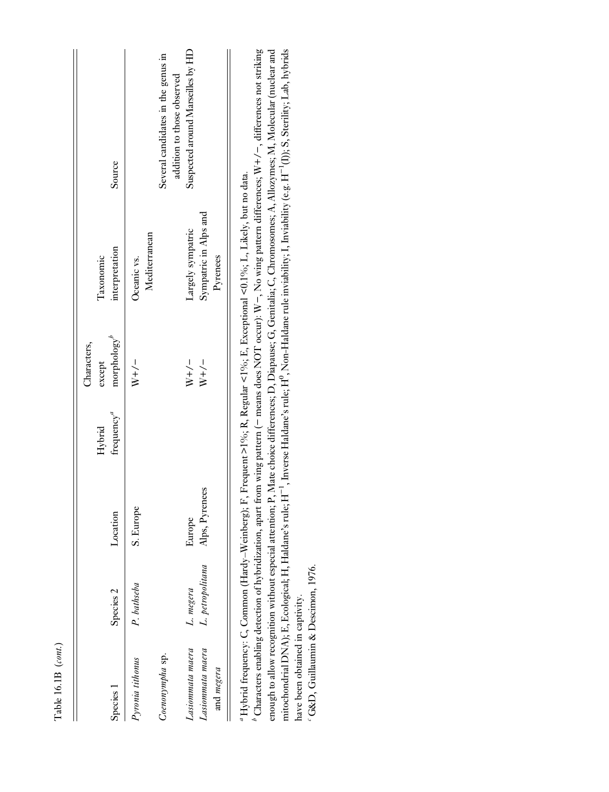Table 16.1B (cont.) Table 16.1B (cont.)

| pecies 1         | Species 2        | Location       | frequency $\phantom{i}^a$<br>Hybrid | morphology''<br>Characters,<br>except | interpretation<br>Taxonomic | Source                             |
|------------------|------------------|----------------|-------------------------------------|---------------------------------------|-----------------------------|------------------------------------|
| Pyronia tithonus | P. bathseba      | S. Europe      |                                     | $W+/-$                                | Oceanic vs.                 |                                    |
|                  |                  |                |                                     |                                       | Mediterranean               |                                    |
| Coenonympha sp.  |                  |                |                                     |                                       |                             | Several candidates in the genus in |
|                  |                  |                |                                     |                                       |                             | addition to those observed         |
| asiommata maera  | L. megera        | Europe         |                                     | $W^+/-$                               | Largely sympatric           | Suspected around Marseilles by HD  |
| Lasiommata maera | L. petropolitana | Alps, Pyrenees |                                     | $W+/-$                                | Sympatric in Alps and       |                                    |
| and megera       |                  |                |                                     |                                       | Pyrenees                    |                                    |
|                  |                  |                |                                     |                                       |                             |                                    |

"Hybrid frequency: C, Common (Hardy–Weinberg); F, Frequent >1%; R, Regular <1%; E, Exceptional <0.1%; L, Likely, but no data. Hybrid frequency: C, Common (Hardy–Weinberg); F, Frequent >1%; R, Regular <1%; E, Exceptional <0.1%; L, Likely, but no data.

<sup>6</sup> Characters enabling detection of hybridization, apart from wing pattern (- means does NOT occur): W-, No wing pattern differences; W+/-, differences not striking mitochondrial DNA); E, Ecological; H, Haldane's rule; H<sup>-1</sup>, Inverse Haldane's rule; H<sup>0</sup>, Non-Haldane rule inviability; I, Inviability (e.g. H<sup>-1</sup>(I)); S, Sterility; Lab, hybrids enough to allow recognition without especial attention; P, Mate choice differences; D, Diapause; G, Genitalia; C, Chromosomes; A, Allozymes; M, Molecular (nuclear and bCharacters enabling detection of hybridization, apart from wing pattern (− means does NOT occur): W−, No wing pattern differences; W+/−, differences not striking enough to allow recognition without especial attention; P, Mate choice differences; D, Diapause; G, Genitalia; C, Chromosomes; A, Allozymes; M, Molecular (nuclear and mitochondrial DNA); E, Ecological; H, Haldane's rule; H−1, Inverse Haldane's rule; H0, Non-Haldane rule inviability; I, Inviability (e.g. H−1(I)); S, Sterility; Lab, hybrids have been obtained in captivity. have been obtained in captivity.

'G&D, Guillaumin & Descimon, 1976. G&D, Guillaumin & Descimon, 1976.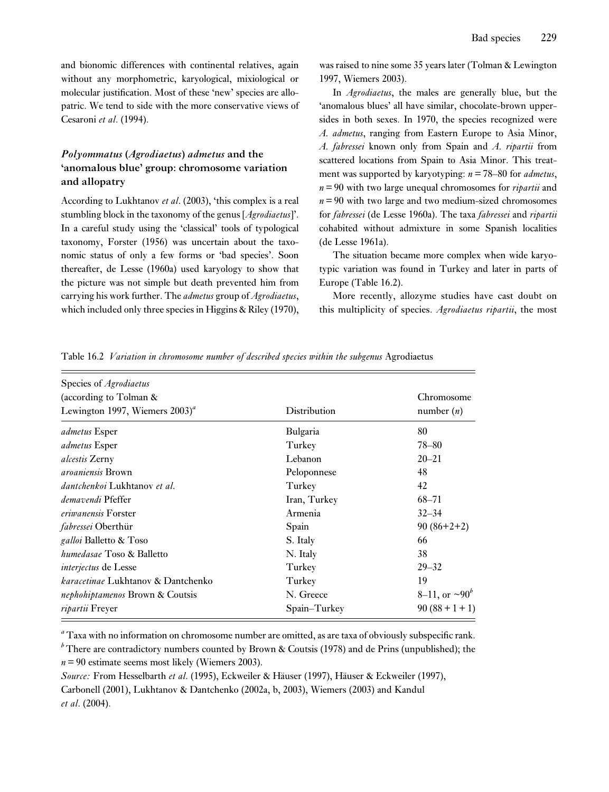and bionomic differences with continental relatives, again without any morphometric, karyological, mixiological or molecular justification. Most of these 'new' species are allopatric. We tend to side with the more conservative views of Cesaroni et al. (1994).

## Polyommatus (Agrodiaetus) admetus and the 'anomalous blue' group: chromosome variation and allopatry

According to Lukhtanov et al. (2003), 'this complex is a real stumbling block in the taxonomy of the genus [Agrodiaetus]'. In a careful study using the 'classical' tools of typological taxonomy, Forster (1956) was uncertain about the taxonomic status of only a few forms or 'bad species'. Soon thereafter, de Lesse (1960a) used karyology to show that the picture was not simple but death prevented him from carrying his work further. The admetus group of Agrodiaetus, which included only three species in Higgins & Riley (1970), was raised to nine some 35 years later (Tolman & Lewington 1997, Wiemers 2003).

In *Agrodiaetus*, the males are generally blue, but the 'anomalous blues' all have similar, chocolate-brown uppersides in both sexes. In 1970, the species recognized were A. admetus, ranging from Eastern Europe to Asia Minor, A. fabressei known only from Spain and A. ripartii from scattered locations from Spain to Asia Minor. This treatment was supported by karyotyping:  $n = 78-80$  for *admetus*,  $n = 90$  with two large unequal chromosomes for *ripartii* and  $n = 90$  with two large and two medium-sized chromosomes for fabressei (de Lesse 1960a). The taxa fabressei and ripartii cohabited without admixture in some Spanish localities (de Lesse 1961a).

The situation became more complex when wide karyotypic variation was found in Turkey and later in parts of Europe (Table 16.2).

More recently, allozyme studies have cast doubt on this multiplicity of species. Agrodiaetus ripartii, the most

| Species of <i>Agrodiaetus</i><br>(according to Tolman & |                 | Chromosome           |
|---------------------------------------------------------|-----------------|----------------------|
| Lewington 1997, Wiemers $2003)^{a}$                     | Distribution    | number $(n)$         |
| <i>admetus</i> Esper                                    | <b>Bulgaria</b> | 80                   |
| <i>admetus</i> Esper                                    | Turkey          | 78–80                |
| <i>alcestis</i> Zerny                                   | Lebanon         | $20 - 21$            |
| <i>aroaniensis</i> Brown                                | Peloponnese     | 48                   |
| <i>dantchenkoi</i> Lukhtanov et al.                     | Turkey          | 42                   |
| <i>demavendi</i> Pfeffer                                | Iran, Turkey    | $68 - 71$            |
| eriwanensis Forster                                     | Armenia         | $32 - 34$            |
| <i>fabressei</i> Oberthür                               | Spain           | $90(86+2+2)$         |
| galloi Balletto & Toso                                  | S. Italy        | 66                   |
| <i>humedasae</i> Toso & Balletto                        | N. Italy        | 38                   |
| <i>interjectus</i> de Lesse                             | Turkey          | $29 - 32$            |
| <i>karacetinae</i> Lukhtanov & Dantchenko               | Turkey          | 19                   |
| nephohiptamenos Brown & Coutsis                         | N. Greece       | 8–11, or $\sim 90^b$ |
| ripartii Freyer                                         | Spain–Turkey    | $90(88+1+1)$         |

<sup>a</sup> Taxa with no information on chromosome number are omitted, as are taxa of obviously subspecific rank.

<sup>b</sup> There are contradictory numbers counted by Brown & Coutsis (1978) and de Prins (unpublished); the  $n = 90$  estimate seems most likely (Wiemers 2003).

Source: From Hesselbarth et al. (1995), Eckweiler & Häuser (1997), Häuser & Eckweiler (1997), Carbonell (2001), Lukhtanov & Dantchenko (2002a, b, 2003), Wiemers (2003) and Kandul et al. (2004).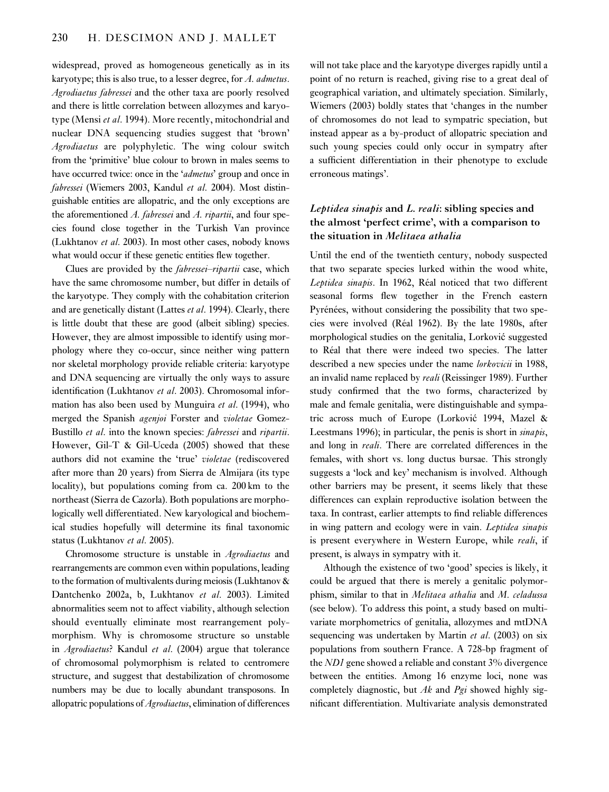widespread, proved as homogeneous genetically as in its karyotype; this is also true, to a lesser degree, for A. admetus. Agrodiaetus fabressei and the other taxa are poorly resolved and there is little correlation between allozymes and karyotype (Mensi et al. 1994). More recently, mitochondrial and nuclear DNA sequencing studies suggest that 'brown' Agrodiaetus are polyphyletic. The wing colour switch from the 'primitive' blue colour to brown in males seems to have occurred twice: once in the 'admetus' group and once in fabressei (Wiemers 2003, Kandul et al. 2004). Most distinguishable entities are allopatric, and the only exceptions are the aforementioned  $A$ . fabressei and  $A$ . ripartii, and four species found close together in the Turkish Van province (Lukhtanov et al. 2003). In most other cases, nobody knows what would occur if these genetic entities flew together.

Clues are provided by the fabressei–ripartii case, which have the same chromosome number, but differ in details of the karyotype. They comply with the cohabitation criterion and are genetically distant (Lattes et al. 1994). Clearly, there is little doubt that these are good (albeit sibling) species. However, they are almost impossible to identify using morphology where they co-occur, since neither wing pattern nor skeletal morphology provide reliable criteria: karyotype and DNA sequencing are virtually the only ways to assure identification (Lukhtanov et al. 2003). Chromosomal information has also been used by Munguira et al. (1994), who merged the Spanish agenjoi Forster and violetae Gomez-Bustillo et al. into the known species: fabressei and ripartii. However, Gil-T & Gil-Uceda (2005) showed that these authors did not examine the 'true' violetae (rediscovered after more than 20 years) from Sierra de Almijara (its type locality), but populations coming from ca. 200 km to the northeast (Sierra de Cazorla). Both populations are morphologically well differentiated. New karyological and biochemical studies hopefully will determine its final taxonomic status (Lukhtanov et al. 2005).

Chromosome structure is unstable in Agrodiaetus and rearrangements are common even within populations, leading to the formation of multivalents during meiosis (Lukhtanov & Dantchenko 2002a, b, Lukhtanov et al. 2003). Limited abnormalities seem not to affect viability, although selection should eventually eliminate most rearrangement polymorphism. Why is chromosome structure so unstable in Agrodiaetus? Kandul et al. (2004) argue that tolerance of chromosomal polymorphism is related to centromere structure, and suggest that destabilization of chromosome numbers may be due to locally abundant transposons. In allopatric populations of Agrodiaetus, elimination of differences

will not take place and the karyotype diverges rapidly until a point of no return is reached, giving rise to a great deal of geographical variation, and ultimately speciation. Similarly, Wiemers (2003) boldly states that 'changes in the number of chromosomes do not lead to sympatric speciation, but instead appear as a by-product of allopatric speciation and such young species could only occur in sympatry after a sufficient differentiation in their phenotype to exclude erroneous matings'.

## Leptidea sinapis and L. reali: sibling species and the almost 'perfect crime', with a comparison to the situation in Melitaea athalia

Until the end of the twentieth century, nobody suspected that two separate species lurked within the wood white, Leptidea sinapis. In 1962, Réal noticed that two different seasonal forms flew together in the French eastern Pyrénées, without considering the possibility that two species were involved (Réal 1962). By the late 1980s, after morphological studies on the genitalia, Lorković suggested to Réal that there were indeed two species. The latter described a new species under the name *lorkovicii* in 1988, an invalid name replaced by reali (Reissinger 1989). Further study confirmed that the two forms, characterized by male and female genitalia, were distinguishable and sympatric across much of Europe (Lorković 1994, Mazel & Leestmans 1996); in particular, the penis is short in sinapis, and long in reali. There are correlated differences in the females, with short vs. long ductus bursae. This strongly suggests a 'lock and key' mechanism is involved. Although other barriers may be present, it seems likely that these differences can explain reproductive isolation between the taxa. In contrast, earlier attempts to find reliable differences in wing pattern and ecology were in vain. Leptidea sinapis is present everywhere in Western Europe, while *reali*, if present, is always in sympatry with it.

Although the existence of two 'good' species is likely, it could be argued that there is merely a genitalic polymorphism, similar to that in Melitaea athalia and M. celadussa (see below). To address this point, a study based on multivariate morphometrics of genitalia, allozymes and mtDNA sequencing was undertaken by Martin et al. (2003) on six populations from southern France. A 728-bp fragment of the ND1 gene showed a reliable and constant 3% divergence between the entities. Among 16 enzyme loci, none was completely diagnostic, but  $Ak$  and  $Pgi$  showed highly significant differentiation. Multivariate analysis demonstrated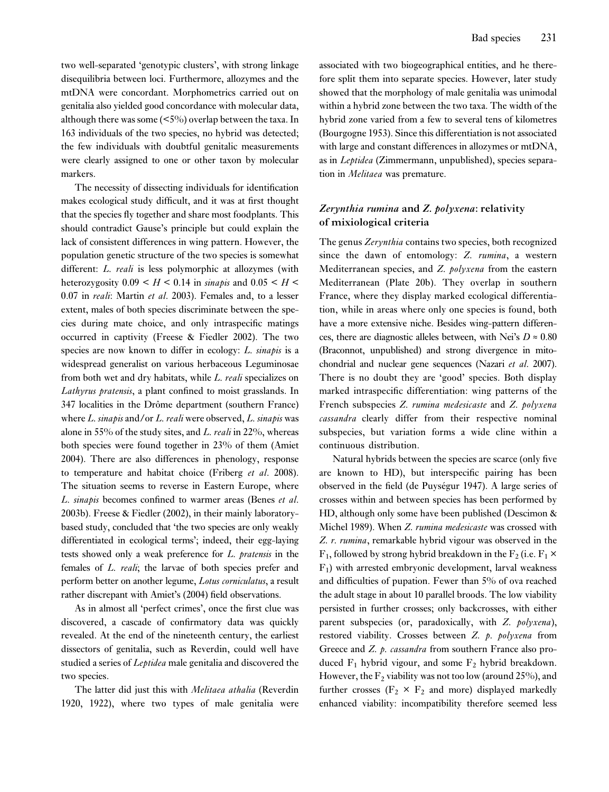two well-separated 'genotypic clusters', with strong linkage disequilibria between loci. Furthermore, allozymes and the mtDNA were concordant. Morphometrics carried out on genitalia also yielded good concordance with molecular data, although there was some  $(5\%)$  overlap between the taxa. In 163 individuals of the two species, no hybrid was detected; the few individuals with doubtful genitalic measurements were clearly assigned to one or other taxon by molecular markers.

The necessity of dissecting individuals for identification makes ecological study difficult, and it was at first thought that the species fly together and share most foodplants. This should contradict Gause's principle but could explain the lack of consistent differences in wing pattern. However, the population genetic structure of the two species is somewhat different: L. reali is less polymorphic at allozymes (with heterozygosity  $0.09 \leq H \leq 0.14$  in *sinapis* and  $0.05 \leq H \leq$ 0.07 in reali: Martin et al. 2003). Females and, to a lesser extent, males of both species discriminate between the species during mate choice, and only intraspecific matings occurred in captivity (Freese & Fiedler 2002). The two species are now known to differ in ecology: L. sinapis is a widespread generalist on various herbaceous Leguminosae from both wet and dry habitats, while L. reali specializes on Lathyrus pratensis, a plant confined to moist grasslands. In 347 localities in the Drôme department (southern France) where  $L$ , sinapis and/or  $L$ , reali were observed,  $L$ , sinapis was alone in 55% of the study sites, and  $L.$  reali in 22%, whereas both species were found together in 23% of them (Amiet 2004). There are also differences in phenology, response to temperature and habitat choice (Friberg et al. 2008). The situation seems to reverse in Eastern Europe, where L. sinapis becomes confined to warmer areas (Benes et al. 2003b). Freese & Fiedler (2002), in their mainly laboratorybased study, concluded that 'the two species are only weakly differentiated in ecological terms'; indeed, their egg-laying tests showed only a weak preference for L. pratensis in the females of L. reali; the larvae of both species prefer and perform better on another legume, Lotus corniculatus, a result rather discrepant with Amiet's (2004) field observations.

As in almost all 'perfect crimes', once the first clue was discovered, a cascade of confirmatory data was quickly revealed. At the end of the nineteenth century, the earliest dissectors of genitalia, such as Reverdin, could well have studied a series of Leptidea male genitalia and discovered the two species.

The latter did just this with Melitaea athalia (Reverdin 1920, 1922), where two types of male genitalia were associated with two biogeographical entities, and he therefore split them into separate species. However, later study showed that the morphology of male genitalia was unimodal within a hybrid zone between the two taxa. The width of the hybrid zone varied from a few to several tens of kilometres (Bourgogne 1953). Since this differentiation is not associated with large and constant differences in allozymes or mtDNA, as in Leptidea (Zimmermann, unpublished), species separation in Melitaea was premature.

## Zerynthia rumina and Z. polyxena: relativity of mixiological criteria

The genus Zerynthia contains two species, both recognized since the dawn of entomology: Z. rumina, a western Mediterranean species, and Z. polyxena from the eastern Mediterranean (Plate 20b). They overlap in southern France, where they display marked ecological differentiation, while in areas where only one species is found, both have a more extensive niche. Besides wing-pattern differences, there are diagnostic alleles between, with Nei's  $D \approx 0.80$ (Braconnot, unpublished) and strong divergence in mitochondrial and nuclear gene sequences (Nazari et al. 2007). There is no doubt they are 'good' species. Both display marked intraspecific differentiation: wing patterns of the French subspecies Z. rumina medesicaste and Z. polyxena cassandra clearly differ from their respective nominal subspecies, but variation forms a wide cline within a continuous distribution.

Natural hybrids between the species are scarce (only five are known to HD), but interspecific pairing has been observed in the field (de Puységur 1947). A large series of crosses within and between species has been performed by HD, although only some have been published (Descimon & Michel 1989). When Z. rumina medesicaste was crossed with Z. r. rumina, remarkable hybrid vigour was observed in the  $F_1$ , followed by strong hybrid breakdown in the  $F_2$  (i.e.  $F_1 \times$ F1) with arrested embryonic development, larval weakness and difficulties of pupation. Fewer than 5% of ova reached the adult stage in about 10 parallel broods. The low viability persisted in further crosses; only backcrosses, with either parent subspecies (or, paradoxically, with Z. polyxena), restored viability. Crosses between Z. p. polyxena from Greece and Z. p. cassandra from southern France also produced  $F_1$  hybrid vigour, and some  $F_2$  hybrid breakdown. However, the  $F_2$  viability was not too low (around 25%), and further crosses ( $F_2 \times F_2$  and more) displayed markedly enhanced viability: incompatibility therefore seemed less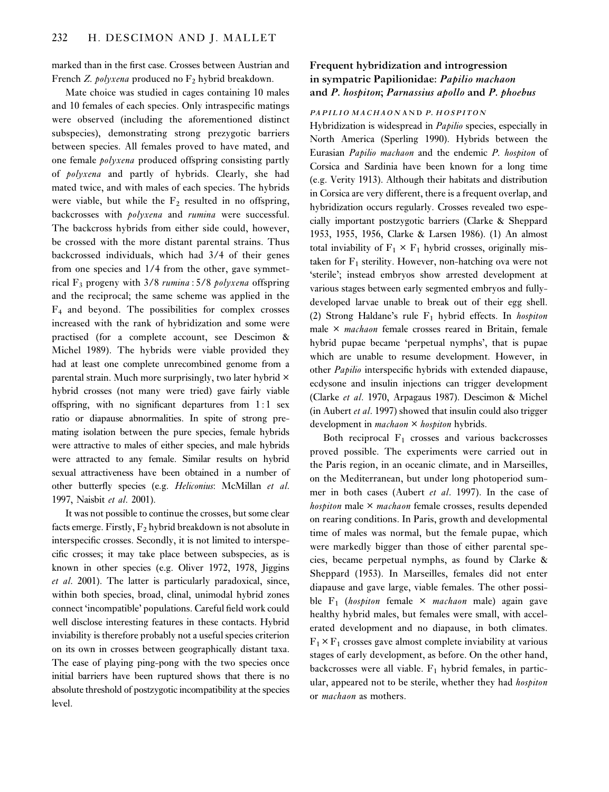marked than in the first case. Crosses between Austrian and French Z. polyxena produced no  $F_2$  hybrid breakdown.

Mate choice was studied in cages containing 10 males and 10 females of each species. Only intraspecific matings were observed (including the aforementioned distinct subspecies), demonstrating strong prezygotic barriers between species. All females proved to have mated, and one female polyxena produced offspring consisting partly of polyxena and partly of hybrids. Clearly, she had mated twice, and with males of each species. The hybrids were viable, but while the  $F_2$  resulted in no offspring, backcrosses with polyxena and rumina were successful. The backcross hybrids from either side could, however, be crossed with the more distant parental strains. Thus backcrossed individuals, which had 3/4 of their genes from one species and 1/4 from the other, gave symmetrical  $F_3$  progeny with  $3/8$  rumina :  $5/8$  polyxena offspring and the reciprocal; the same scheme was applied in the  $F<sub>4</sub>$  and beyond. The possibilities for complex crosses increased with the rank of hybridization and some were practised (for a complete account, see Descimon & Michel 1989). The hybrids were viable provided they had at least one complete unrecombined genome from a parental strain. Much more surprisingly, two later hybrid  $\times$ hybrid crosses (not many were tried) gave fairly viable offspring, with no significant departures from 1 : 1 sex ratio or diapause abnormalities. In spite of strong premating isolation between the pure species, female hybrids were attractive to males of either species, and male hybrids were attracted to any female. Similar results on hybrid sexual attractiveness have been obtained in a number of other butterfly species (e.g. Heliconius: McMillan et al. 1997, Naisbit et al. 2001).

It was not possible to continue the crosses, but some clear facts emerge. Firstly,  $F_2$  hybrid breakdown is not absolute in interspecific crosses. Secondly, it is not limited to interspecific crosses; it may take place between subspecies, as is known in other species (e.g. Oliver 1972, 1978, Jiggins et al. 2001). The latter is particularly paradoxical, since, within both species, broad, clinal, unimodal hybrid zones connect 'incompatible' populations. Careful field work could well disclose interesting features in these contacts. Hybrid inviability is therefore probably not a useful species criterion on its own in crosses between geographically distant taxa. The ease of playing ping-pong with the two species once initial barriers have been ruptured shows that there is no absolute threshold of postzygotic incompatibility at the species level.

## Frequent hybridization and introgression in sympatric Papilionidae: Papilio machaon and P. hospiton; Parnassius apollo and P. phoebus

### PAPILIO MACHAON AND P. HOSPITON

Hybridization is widespread in Papilio species, especially in North America (Sperling 1990). Hybrids between the Eurasian Papilio machaon and the endemic P. hospiton of Corsica and Sardinia have been known for a long time (e.g. Verity 1913). Although their habitats and distribution in Corsica are very different, there is a frequent overlap, and hybridization occurs regularly. Crosses revealed two especially important postzygotic barriers (Clarke & Sheppard 1953, 1955, 1956, Clarke & Larsen 1986). (1) An almost total inviability of  $F_1 \times F_1$  hybrid crosses, originally mistaken for  $F_1$  sterility. However, non-hatching ova were not 'sterile'; instead embryos show arrested development at various stages between early segmented embryos and fullydeveloped larvae unable to break out of their egg shell. (2) Strong Haldane's rule  $F_1$  hybrid effects. In *hospiton* male  $\times$  machaon female crosses reared in Britain, female hybrid pupae became 'perpetual nymphs', that is pupae which are unable to resume development. However, in other Papilio interspecific hybrids with extended diapause, ecdysone and insulin injections can trigger development (Clarke et al. 1970, Arpagaus 1987). Descimon & Michel (in Aubert et al. 1997) showed that insulin could also trigger development in *machaon*  $\times$  *hospiton* hybrids.

Both reciprocal  $F_1$  crosses and various backcrosses proved possible. The experiments were carried out in the Paris region, in an oceanic climate, and in Marseilles, on the Mediterranean, but under long photoperiod summer in both cases (Aubert et al. 1997). In the case of hospiton male  $\times$  machaon female crosses, results depended on rearing conditions. In Paris, growth and developmental time of males was normal, but the female pupae, which were markedly bigger than those of either parental species, became perpetual nymphs, as found by Clarke & Sheppard (1953). In Marseilles, females did not enter diapause and gave large, viable females. The other possible  $F_1$  (hospiton female  $\times$  machaon male) again gave healthy hybrid males, but females were small, with accelerated development and no diapause, in both climates.  $F_1 \times F_1$  crosses gave almost complete inviability at various stages of early development, as before. On the other hand, backcrosses were all viable.  $F_1$  hybrid females, in particular, appeared not to be sterile, whether they had *hospiton* or machaon as mothers.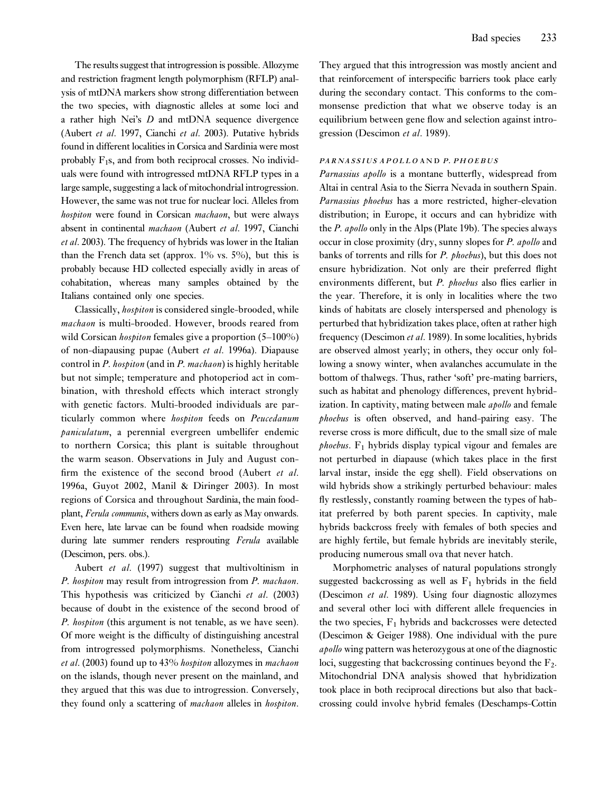The results suggest that introgression is possible. Allozyme and restriction fragment length polymorphism (RFLP) analysis of mtDNA markers show strong differentiation between the two species, with diagnostic alleles at some loci and a rather high Nei's D and mtDNA sequence divergence (Aubert et al. 1997, Cianchi et al. 2003). Putative hybrids found in different localities in Corsica and Sardinia were most probably  $F_1$ s, and from both reciprocal crosses. No individuals were found with introgressed mtDNA RFLP types in a large sample, suggesting a lack of mitochondrial introgression. However, the same was not true for nuclear loci. Alleles from hospiton were found in Corsican machaon, but were always absent in continental machaon (Aubert et al. 1997, Cianchi et al. 2003). The frequency of hybrids was lower in the Italian than the French data set (approx.  $1\%$  vs.  $5\%$ ), but this is probably because HD collected especially avidly in areas of cohabitation, whereas many samples obtained by the Italians contained only one species.

Classically, hospiton is considered single-brooded, while machaon is multi-brooded. However, broods reared from wild Corsican *hospiton* females give a proportion (5–100%) of non-diapausing pupae (Aubert et al. 1996a). Diapause control in P. hospiton (and in P. machaon) is highly heritable but not simple; temperature and photoperiod act in combination, with threshold effects which interact strongly with genetic factors. Multi-brooded individuals are particularly common where hospiton feeds on Peucedanum paniculatum, a perennial evergreen umbellifer endemic to northern Corsica; this plant is suitable throughout the warm season. Observations in July and August confirm the existence of the second brood (Aubert et al. 1996a, Guyot 2002, Manil & Diringer 2003). In most regions of Corsica and throughout Sardinia, the main foodplant, Ferula communis, withers down as early as May onwards. Even here, late larvae can be found when roadside mowing during late summer renders resprouting Ferula available (Descimon, pers. obs.).

Aubert et al. (1997) suggest that multivoltinism in P. hospiton may result from introgression from P. machaon. This hypothesis was criticized by Cianchi et al. (2003) because of doubt in the existence of the second brood of P. hospiton (this argument is not tenable, as we have seen). Of more weight is the difficulty of distinguishing ancestral from introgressed polymorphisms. Nonetheless, Cianchi et al. (2003) found up to 43% hospiton allozymes in machaon on the islands, though never present on the mainland, and they argued that this was due to introgression. Conversely, they found only a scattering of machaon alleles in hospiton.

They argued that this introgression was mostly ancient and that reinforcement of interspecific barriers took place early during the secondary contact. This conforms to the commonsense prediction that what we observe today is an equilibrium between gene flow and selection against introgression (Descimon et al. 1989).

#### PARNAS SIUS APOLLO AND P. PHOEBUS

Parnassius apollo is a montane butterfly, widespread from Altai in central Asia to the Sierra Nevada in southern Spain. Parnassius phoebus has a more restricted, higher-elevation distribution; in Europe, it occurs and can hybridize with the *P. apollo* only in the Alps (Plate 19b). The species always occur in close proximity (dry, sunny slopes for P. apollo and banks of torrents and rills for P. phoebus), but this does not ensure hybridization. Not only are their preferred flight environments different, but P. phoebus also flies earlier in the year. Therefore, it is only in localities where the two kinds of habitats are closely interspersed and phenology is perturbed that hybridization takes place, often at rather high frequency (Descimon et al. 1989). In some localities, hybrids are observed almost yearly; in others, they occur only following a snowy winter, when avalanches accumulate in the bottom of thalwegs. Thus, rather 'soft' pre-mating barriers, such as habitat and phenology differences, prevent hybridization. In captivity, mating between male *apollo* and female phoebus is often observed, and hand-pairing easy. The reverse cross is more difficult, due to the small size of male *phoebus.*  $F_1$  hybrids display typical vigour and females are not perturbed in diapause (which takes place in the first larval instar, inside the egg shell). Field observations on wild hybrids show a strikingly perturbed behaviour: males fly restlessly, constantly roaming between the types of habitat preferred by both parent species. In captivity, male hybrids backcross freely with females of both species and are highly fertile, but female hybrids are inevitably sterile, producing numerous small ova that never hatch.

Morphometric analyses of natural populations strongly suggested backcrossing as well as  $F_1$  hybrids in the field (Descimon et al. 1989). Using four diagnostic allozymes and several other loci with different allele frequencies in the two species,  $F_1$  hybrids and backcrosses were detected (Descimon & Geiger 1988). One individual with the pure apollo wing pattern was heterozygous at one of the diagnostic loci, suggesting that backcrossing continues beyond the F<sub>2</sub>. Mitochondrial DNA analysis showed that hybridization took place in both reciprocal directions but also that backcrossing could involve hybrid females (Deschamps-Cottin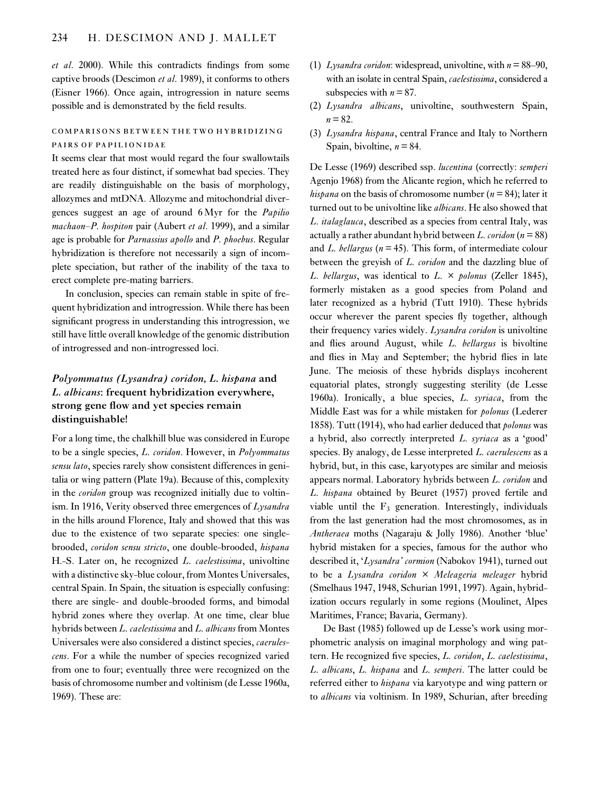et al. 2000). While this contradicts findings from some captive broods (Descimon et al. 1989), it conforms to others (Eisner 1966). Once again, introgression in nature seems possible and is demonstrated by the field results.

### COMPARISONS BETWEEN THE TWO HYBRIDIZING pairs of papilionidae

It seems clear that most would regard the four swallowtails treated here as four distinct, if somewhat bad species. They are readily distinguishable on the basis of morphology, allozymes and mtDNA. Allozyme and mitochondrial divergences suggest an age of around 6 Myr for the Papilio machaon–P. hospiton pair (Aubert et al. 1999), and a similar age is probable for Parnassius apollo and P. phoebus. Regular hybridization is therefore not necessarily a sign of incomplete speciation, but rather of the inability of the taxa to erect complete pre-mating barriers.

In conclusion, species can remain stable in spite of frequent hybridization and introgression. While there has been significant progress in understanding this introgression, we still have little overall knowledge of the genomic distribution of introgressed and non-introgressed loci.

## Polyommatus (Lysandra) coridon, L. hispana and L. albicans: frequent hybridization everywhere, strong gene flow and yet species remain distinguishable!

For a long time, the chalkhill blue was considered in Europe to be a single species, L. coridon. However, in Polyommatus sensu lato, species rarely show consistent differences in genitalia or wing pattern (Plate 19a). Because of this, complexity in the coridon group was recognized initially due to voltinism. In 1916, Verity observed three emergences of Lysandra in the hills around Florence, Italy and showed that this was due to the existence of two separate species: one singlebrooded, coridon sensu stricto, one double-brooded, hispana H.-S. Later on, he recognized L. caelestissima, univoltine with a distinctive sky-blue colour, from Montes Universales, central Spain. In Spain, the situation is especially confusing: there are single- and double-brooded forms, and bimodal hybrid zones where they overlap. At one time, clear blue hybrids between L. caelestissima and L. albicans from Montes Universales were also considered a distinct species, caerulescens. For a while the number of species recognized varied from one to four; eventually three were recognized on the basis of chromosome number and voltinism (de Lesse 1960a, 1969). These are:

- (1) Lysandra coridon: widespread, univoltine, with  $n = 88-90$ , with an isolate in central Spain, *caelestissima*, considered a subspecies with  $n = 87$ .
- (2) Lysandra albicans, univoltine, southwestern Spain,  $n = 82.$
- (3) Lysandra hispana, central France and Italy to Northern Spain, bivoltine,  $n = 84$ .

De Lesse (1969) described ssp. lucentina (correctly: semperi Agenjo 1968) from the Alicante region, which he referred to *hispana* on the basis of chromosome number ( $n = 84$ ); later it turned out to be univoltine like *albicans*. He also showed that L. italaglauca, described as a species from central Italy, was actually a rather abundant hybrid between L. coridon ( $n = 88$ ) and L. bellargus ( $n = 45$ ). This form, of intermediate colour between the greyish of L. coridon and the dazzling blue of L. bellargus, was identical to L.  $\times$  polonus (Zeller 1845), formerly mistaken as a good species from Poland and later recognized as a hybrid (Tutt 1910). These hybrids occur wherever the parent species fly together, although their frequency varies widely. Lysandra coridon is univoltine and flies around August, while L. bellargus is bivoltine and flies in May and September; the hybrid flies in late June. The meiosis of these hybrids displays incoherent equatorial plates, strongly suggesting sterility (de Lesse 1960a). Ironically, a blue species, L. syriaca, from the Middle East was for a while mistaken for polonus (Lederer 1858). Tutt (1914), who had earlier deduced that *polonus* was a hybrid, also correctly interpreted L. syriaca as a 'good' species. By analogy, de Lesse interpreted L. caerulescens as a hybrid, but, in this case, karyotypes are similar and meiosis appears normal. Laboratory hybrids between L. coridon and L. hispana obtained by Beuret (1957) proved fertile and viable until the  $F_3$  generation. Interestingly, individuals from the last generation had the most chromosomes, as in Antheraea moths (Nagaraju & Jolly 1986). Another 'blue' hybrid mistaken for a species, famous for the author who described it, 'Lysandra' cormion (Nabokov 1941), turned out to be a Lysandra coridon  $\times$  Meleageria meleager hybrid (Smelhaus 1947, 1948, Schurian 1991, 1997). Again, hybridization occurs regularly in some regions (Moulinet, Alpes Maritimes, France; Bavaria, Germany).

De Bast (1985) followed up de Lesse's work using morphometric analysis on imaginal morphology and wing pattern. He recognized five species, L. coridon, L. caelestissima, L. albicans, L. hispana and L. semperi. The latter could be referred either to hispana via karyotype and wing pattern or to albicans via voltinism. In 1989, Schurian, after breeding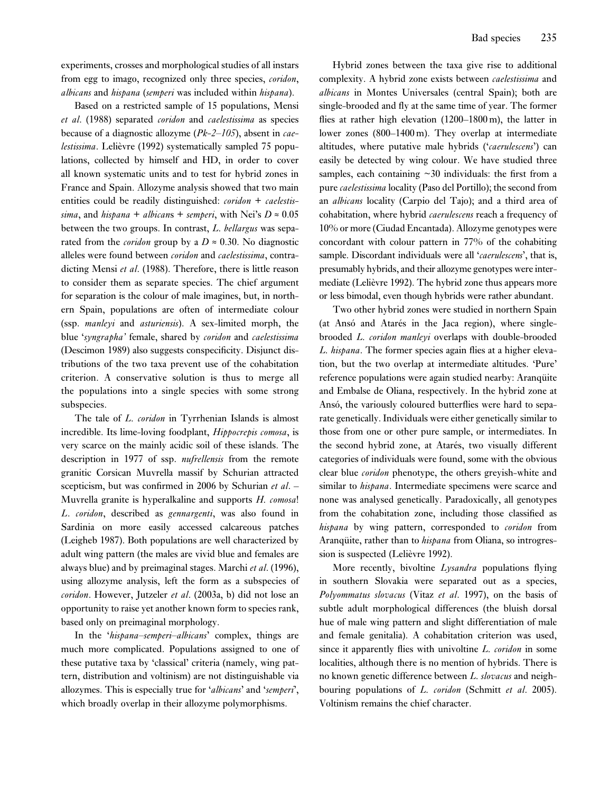experiments, crosses and morphological studies of all instars from egg to imago, recognized only three species, coridon, albicans and hispana (semperi was included within hispana).

Based on a restricted sample of 15 populations, Mensi et al. (1988) separated coridon and caelestissima as species because of a diagnostic allozyme  $(Pk-2-105)$ , absent in *cae*lestissima. Lelièvre (1992) systematically sampled 75 populations, collected by himself and HD, in order to cover all known systematic units and to test for hybrid zones in France and Spain. Allozyme analysis showed that two main entities could be readily distinguished: *coridon* + *caelestis*sima, and hispana + albicans + semperi, with Nei's  $D \approx 0.05$ between the two groups. In contrast, L. bellargus was separated from the *coridon* group by a  $D \approx 0.30$ . No diagnostic alleles were found between coridon and caelestissima, contradicting Mensi et al. (1988). Therefore, there is little reason to consider them as separate species. The chief argument for separation is the colour of male imagines, but, in northern Spain, populations are often of intermediate colour (ssp. manleyi and asturiensis). A sex-limited morph, the blue 'syngrapha' female, shared by coridon and caelestissima (Descimon 1989) also suggests conspecificity. Disjunct distributions of the two taxa prevent use of the cohabitation criterion. A conservative solution is thus to merge all the populations into a single species with some strong subspecies.

The tale of L. coridon in Tyrrhenian Islands is almost incredible. Its lime-loving foodplant, Hippocrepis comosa, is very scarce on the mainly acidic soil of these islands. The description in 1977 of ssp. nufrellensis from the remote granitic Corsican Muvrella massif by Schurian attracted scepticism, but was confirmed in 2006 by Schurian et al. -Muvrella granite is hyperalkaline and supports H. comosa! L. coridon, described as gennargenti, was also found in Sardinia on more easily accessed calcareous patches (Leigheb 1987). Both populations are well characterized by adult wing pattern (the males are vivid blue and females are always blue) and by preimaginal stages. Marchi et al. (1996), using allozyme analysis, left the form as a subspecies of coridon. However, Jutzeler et al. (2003a, b) did not lose an opportunity to raise yet another known form to species rank, based only on preimaginal morphology.

In the 'hispana–semperi–albicans' complex, things are much more complicated. Populations assigned to one of these putative taxa by 'classical' criteria (namely, wing pattern, distribution and voltinism) are not distinguishable via allozymes. This is especially true for 'albicans' and 'semperi', which broadly overlap in their allozyme polymorphisms.

Hybrid zones between the taxa give rise to additional complexity. A hybrid zone exists between caelestissima and albicans in Montes Universales (central Spain); both are single-brooded and fly at the same time of year. The former flies at rather high elevation (1200–1800 m), the latter in lower zones (800–1400 m). They overlap at intermediate altitudes, where putative male hybrids ('caerulescens') can easily be detected by wing colour. We have studied three samples, each containing  $\sim$ 30 individuals: the first from a pure caelestissima locality (Paso del Portillo); the second from an albicans locality (Carpio del Tajo); and a third area of cohabitation, where hybrid caerulescens reach a frequency of 10% or more (Ciudad Encantada). Allozyme genotypes were concordant with colour pattern in 77% of the cohabiting sample. Discordant individuals were all 'caerulescens', that is, presumably hybrids, and their allozyme genotypes were intermediate (Lelièvre 1992). The hybrid zone thus appears more or less bimodal, even though hybrids were rather abundant.

Two other hybrid zones were studied in northern Spain (at Ansó and Atarés in the Jaca region), where singlebrooded L. coridon manleyi overlaps with double-brooded L. hispana. The former species again flies at a higher elevation, but the two overlap at intermediate altitudes. 'Pure' reference populations were again studied nearby: Aranqüite and Embalse de Oliana, respectively. In the hybrid zone at Ansó, the variously coloured butterflies were hard to separate genetically. Individuals were either genetically similar to those from one or other pure sample, or intermediates. In the second hybrid zone, at Atarés, two visually different categories of individuals were found, some with the obvious clear blue coridon phenotype, the others greyish-white and similar to *hispana*. Intermediate specimens were scarce and none was analysed genetically. Paradoxically, all genotypes from the cohabitation zone, including those classified as hispana by wing pattern, corresponded to *coridon* from Aranqüite, rather than to hispana from Oliana, so introgression is suspected (Lelièvre 1992).

More recently, bivoltine *Lysandra* populations flying in southern Slovakia were separated out as a species, Polyommatus slovacus (Vitaz et al. 1997), on the basis of subtle adult morphological differences (the bluish dorsal hue of male wing pattern and slight differentiation of male and female genitalia). A cohabitation criterion was used, since it apparently flies with univoltine L. coridon in some localities, although there is no mention of hybrids. There is no known genetic difference between L. slovacus and neighbouring populations of L. coridon (Schmitt et al. 2005). Voltinism remains the chief character.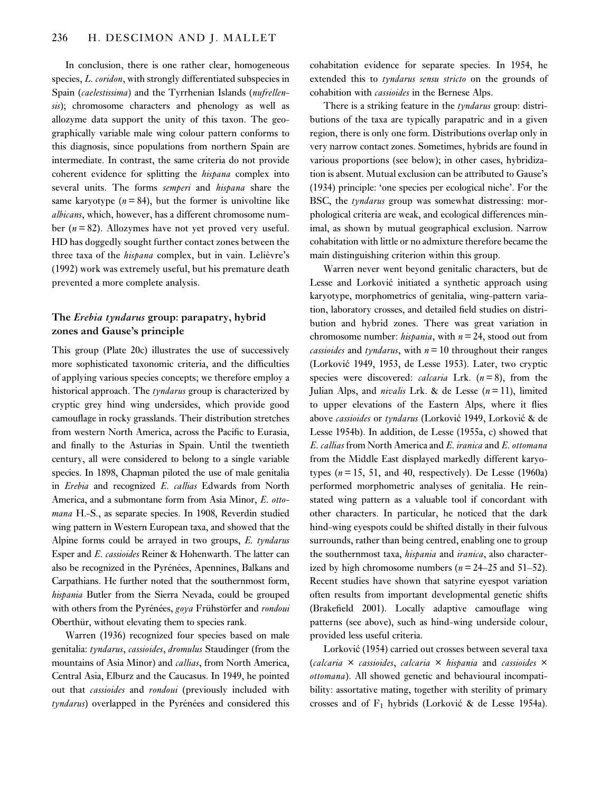In conclusion, there is one rather clear, homogeneous species, L. coridon, with strongly differentiated subspecies in Spain (caelestissima) and the Tyrrhenian Islands (nufrellensis); chromosome characters and phenology as well as allozyme data support the unity of this taxon. The geographically variable male wing colour pattern conforms to this diagnosis, since populations from northern Spain are intermediate. In contrast, the same criteria do not provide coherent evidence for splitting the hispana complex into several units. The forms semperi and hispana share the same karyotype  $(n = 84)$ , but the former is univoltine like albicans, which, however, has a different chromosome number ( $n = 82$ ). Allozymes have not yet proved very useful. HD has doggedly sought further contact zones between the three taxa of the hispana complex, but in vain. Lelièvre's (1992) work was extremely useful, but his premature death prevented a more complete analysis.

## The Erebia tyndarus group: parapatry, hybrid zones and Gause's principle

This group (Plate 20c) illustrates the use of successively more sophisticated taxonomic criteria, and the difficulties of applying various species concepts; we therefore employ a historical approach. The tyndarus group is characterized by cryptic grey hind wing undersides, which provide good camouflage in rocky grasslands. Their distribution stretches from western North America, across the Pacific to Eurasia, and finally to the Asturias in Spain. Until the twentieth century, all were considered to belong to a single variable species. In 1898, Chapman piloted the use of male genitalia in Erebia and recognized E. callias Edwards from North America, and a submontane form from Asia Minor, E. ottomana H.-S., as separate species. In 1908, Reverdin studied wing pattern in Western European taxa, and showed that the Alpine forms could be arrayed in two groups, E. tyndarus Esper and E. cassioides Reiner & Hohenwarth. The latter can also be recognized in the Pyrénées, Apennines, Balkans and Carpathians. He further noted that the southernmost form, hispania Butler from the Sierra Nevada, could be grouped with others from the Pyrénées, goya Frühstörfer and rondoui Oberthür, without elevating them to species rank.

Warren (1936) recognized four species based on male genitalia: tyndarus, cassioides, dromulus Staudinger (from the mountains of Asia Minor) and callias, from North America, Central Asia, Elburz and the Caucasus. In 1949, he pointed out that cassioides and rondoui (previously included with tyndarus) overlapped in the Pyrénées and considered this

cohabitation evidence for separate species. In 1954, he extended this to tyndarus sensu stricto on the grounds of cohabition with cassioides in the Bernese Alps.

There is a striking feature in the tyndarus group: distributions of the taxa are typically parapatric and in a given region, there is only one form. Distributions overlap only in very narrow contact zones. Sometimes, hybrids are found in various proportions (see below); in other cases, hybridization is absent. Mutual exclusion can be attributed to Gause's (1934) principle: 'one species per ecological niche'. For the BSC, the tyndarus group was somewhat distressing: morphological criteria are weak, and ecological differences minimal, as shown by mutual geographical exclusion. Narrow cohabitation with little or no admixture therefore became the main distinguishing criterion within this group.

Warren never went beyond genitalic characters, but de Lesse and Lorković initiated a synthetic approach using karyotype, morphometrics of genitalia, wing-pattern variation, laboratory crosses, and detailed field studies on distribution and hybrid zones. There was great variation in chromosome number: *hispania*, with  $n = 24$ , stood out from *cassioides* and *tyndarus*, with  $n = 10$  throughout their ranges (Lorković 1949, 1953, de Lesse 1953). Later, two cryptic species were discovered: *calcaria* Lrk.  $(n=8)$ , from the Julian Alps, and *nivalis* Lrk. & de Lesse  $(n = 11)$ , limited to upper elevations of the Eastern Alps, where it flies above cassioides or tyndarus (Lorković 1949, Lorković & de Lesse 1954b). In addition, de Lesse (1955a, c) showed that E. callias from North America and E. iranica and E. ottomana from the Middle East displayed markedly different karyotypes  $(n = 15, 51,$  and 40, respectively). De Lesse (1960a) performed morphometric analyses of genitalia. He reinstated wing pattern as a valuable tool if concordant with other characters. In particular, he noticed that the dark hind-wing eyespots could be shifted distally in their fulvous surrounds, rather than being centred, enabling one to group the southernmost taxa, hispania and iranica, also characterized by high chromosome numbers ( $n = 24-25$  and 51–52). Recent studies have shown that satyrine eyespot variation often results from important developmental genetic shifts (Brakefield 2001). Locally adaptive camouflage wing patterns (see above), such as hind-wing underside colour, provided less useful criteria.

Lorković (1954) carried out crosses between several taxa (calcaria  $\times$  cassioides, calcaria  $\times$  hispania and cassioides  $\times$ ottomana). All showed genetic and behavioural incompatibility: assortative mating, together with sterility of primary crosses and of  $F_1$  hybrids (Lorković & de Lesse 1954a).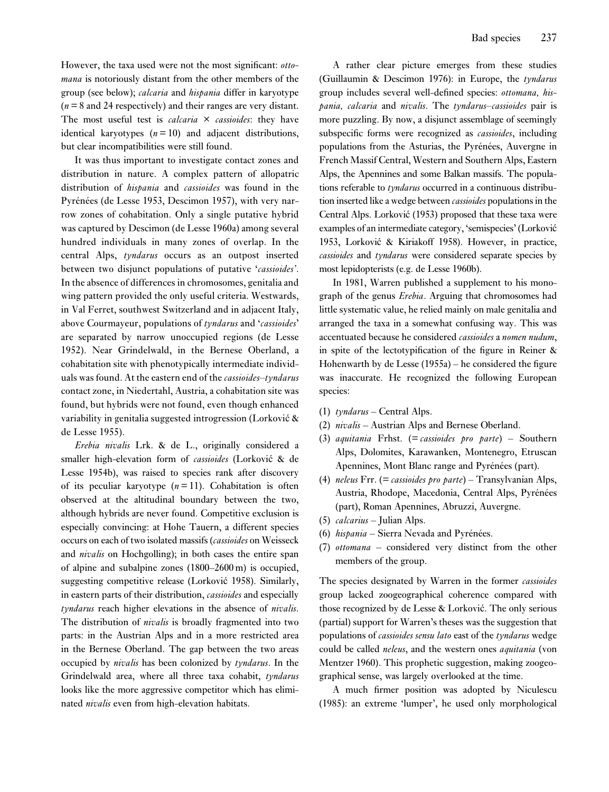However, the taxa used were not the most significant: ottomana is notoriously distant from the other members of the group (see below); calcaria and hispania differ in karyotype  $(n = 8$  and 24 respectively) and their ranges are very distant. The most useful test is *calcaria*  $\times$  *cassioides*: they have identical karyotypes  $(n=10)$  and adjacent distributions, but clear incompatibilities were still found.

It was thus important to investigate contact zones and distribution in nature. A complex pattern of allopatric distribution of hispania and cassioides was found in the Pyrénées (de Lesse 1953, Descimon 1957), with very narrow zones of cohabitation. Only a single putative hybrid was captured by Descimon (de Lesse 1960a) among several hundred individuals in many zones of overlap. In the central Alps, tyndarus occurs as an outpost inserted between two disjunct populations of putative 'cassioides'. In the absence of differences in chromosomes, genitalia and wing pattern provided the only useful criteria. Westwards, in Val Ferret, southwest Switzerland and in adjacent Italy, above Courmayeur, populations of tyndarus and 'cassioides' are separated by narrow unoccupied regions (de Lesse 1952). Near Grindelwald, in the Bernese Oberland, a cohabitation site with phenotypically intermediate individuals was found. At the eastern end of the *cassioides-tyndarus* contact zone, in Niedertahl, Austria, a cohabitation site was found, but hybrids were not found, even though enhanced variability in genitalia suggested introgression (Lorković & de Lesse 1955).

Erebia nivalis Lrk. & de L., originally considered a smaller high-elevation form of cassioides (Lorković & de Lesse 1954b), was raised to species rank after discovery of its peculiar karyotype  $(n = 11)$ . Cohabitation is often observed at the altitudinal boundary between the two, although hybrids are never found. Competitive exclusion is especially convincing: at Hohe Tauern, a different species occurs on each of two isolated massifs (cassioides on Weisseck and nivalis on Hochgolling); in both cases the entire span of alpine and subalpine zones (1800–2600 m) is occupied, suggesting competitive release (Lorković 1958). Similarly, in eastern parts of their distribution, cassioides and especially tyndarus reach higher elevations in the absence of nivalis. The distribution of nivalis is broadly fragmented into two parts: in the Austrian Alps and in a more restricted area in the Bernese Oberland. The gap between the two areas occupied by *nivalis* has been colonized by  $t$ *yndarus*. In the Grindelwald area, where all three taxa cohabit, tyndarus looks like the more aggressive competitor which has eliminated nivalis even from high-elevation habitats.

A rather clear picture emerges from these studies (Guillaumin & Descimon 1976): in Europe, the tyndarus group includes several well-defined species: ottomana, hispania, calcaria and nivalis. The tyndarus–cassioides pair is more puzzling. By now, a disjunct assemblage of seemingly subspecific forms were recognized as *cassioides*, including populations from the Asturias, the Pyrénées, Auvergne in French Massif Central, Western and Southern Alps, Eastern Alps, the Apennines and some Balkan massifs. The populations referable to tyndarus occurred in a continuous distribution inserted like a wedge between cassioides populations in the Central Alps. Lorković (1953) proposed that these taxa were examples of an intermediate category, 'semispecies' (Lorković 1953, Lorković & Kiriakoff 1958). However, in practice, cassioides and tyndarus were considered separate species by most lepidopterists (e.g. de Lesse 1960b).

In 1981, Warren published a supplement to his monograph of the genus Erebia. Arguing that chromosomes had little systematic value, he relied mainly on male genitalia and arranged the taxa in a somewhat confusing way. This was accentuated because he considered cassioides a nomen nudum, in spite of the lectotypification of the figure in Reiner & Hohenwarth by de Lesse (1955a) – he considered the figure was inaccurate. He recognized the following European species:

- (1)  $t\nu$ ndarus Central Alps.
- (2) nivalis Austrian Alps and Bernese Oberland.
- (3) aquitania Frhst. (= cassioides pro parte) Southern Alps, Dolomites, Karawanken, Montenegro, Etruscan Apennines, Mont Blanc range and Pyrénées (part).
- (4) neleus Frr. (= cassioides pro parte) Transylvanian Alps, Austria, Rhodope, Macedonia, Central Alps, Pyrénées (part), Roman Apennines, Abruzzi, Auvergne.
- (5) calcarius Julian Alps.
- (6) hispania Sierra Nevada and Pyrénées.
- (7) ottomana considered very distinct from the other members of the group.

The species designated by Warren in the former *cassioides* group lacked zoogeographical coherence compared with those recognized by de Lesse & Lorković. The only serious (partial) support for Warren's theses was the suggestion that populations of cassioides sensu lato east of the tyndarus wedge could be called neleus, and the western ones aquitania (von Mentzer 1960). This prophetic suggestion, making zoogeographical sense, was largely overlooked at the time.

A much firmer position was adopted by Niculescu (1985): an extreme 'lumper', he used only morphological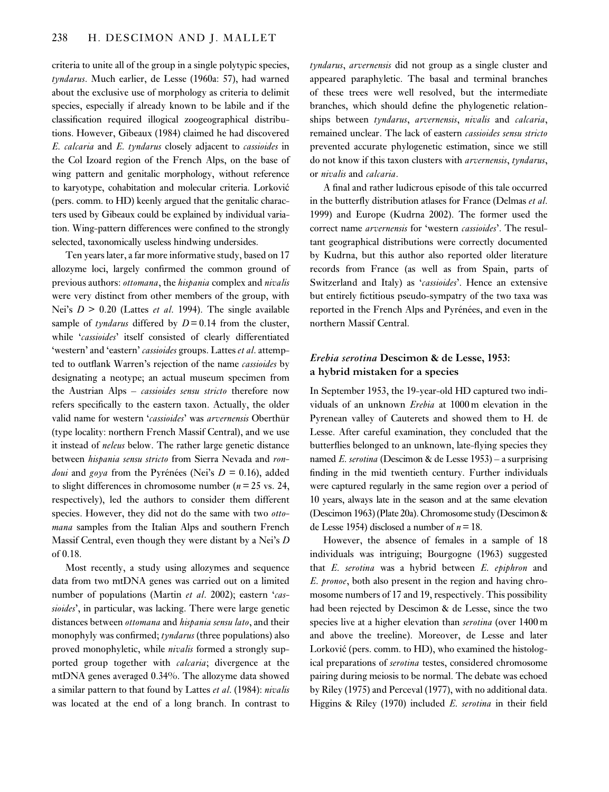criteria to unite all of the group in a single polytypic species, tyndarus. Much earlier, de Lesse (1960a: 57), had warned about the exclusive use of morphology as criteria to delimit species, especially if already known to be labile and if the classification required illogical zoogeographical distributions. However, Gibeaux (1984) claimed he had discovered E. calcaria and E. tyndarus closely adjacent to cassioides in the Col Izoard region of the French Alps, on the base of wing pattern and genitalic morphology, without reference to karyotype, cohabitation and molecular criteria. Lorković (pers. comm. to HD) keenly argued that the genitalic characters used by Gibeaux could be explained by individual variation. Wing-pattern differences were confined to the strongly selected, taxonomically useless hindwing undersides.

Ten years later, a far more informative study, based on 17 allozyme loci, largely confirmed the common ground of previous authors: ottomana, the hispania complex and nivalis were very distinct from other members of the group, with Nei's  $D > 0.20$  (Lattes *et al.* 1994). The single available sample of *tyndarus* differed by  $D = 0.14$  from the cluster, while 'cassioides' itself consisted of clearly differentiated 'western'and 'eastern' cassioides groups. Lattes et al. attempted to outflank Warren's rejection of the name cassioides by designating a neotype; an actual museum specimen from the Austrian Alps – cassioides sensu stricto therefore now refers specifically to the eastern taxon. Actually, the older valid name for western 'cassioides' was arvernensis Oberthür (type locality: northern French Massif Central), and we use it instead of neleus below. The rather large genetic distance between hispania sensu stricto from Sierra Nevada and ron*doui* and *goya* from the Pyrénées (Nei's  $D = 0.16$ ), added to slight differences in chromosome number ( $n = 25$  vs. 24, respectively), led the authors to consider them different species. However, they did not do the same with two ottomana samples from the Italian Alps and southern French Massif Central, even though they were distant by a Nei's D of 0.18.

Most recently, a study using allozymes and sequence data from two mtDNA genes was carried out on a limited number of populations (Martin et al. 2002); eastern 'cassioides', in particular, was lacking. There were large genetic distances between ottomana and hispania sensu lato, and their monophyly was confirmed; tyndarus (three populations) also proved monophyletic, while nivalis formed a strongly supported group together with calcaria; divergence at the mtDNA genes averaged 0.34%. The allozyme data showed a similar pattern to that found by Lattes et al. (1984): nivalis was located at the end of a long branch. In contrast to

tyndarus, arvernensis did not group as a single cluster and appeared paraphyletic. The basal and terminal branches of these trees were well resolved, but the intermediate branches, which should define the phylogenetic relationships between tyndarus, arvernensis, nivalis and calcaria, remained unclear. The lack of eastern cassioides sensu stricto prevented accurate phylogenetic estimation, since we still do not know if this taxon clusters with arvernensis, tyndarus, or nivalis and calcaria.

A final and rather ludicrous episode of this tale occurred in the butterfly distribution atlases for France (Delmas et al. 1999) and Europe (Kudrna 2002). The former used the correct name arvernensis for 'western cassioides'. The resultant geographical distributions were correctly documented by Kudrna, but this author also reported older literature records from France (as well as from Spain, parts of Switzerland and Italy) as 'cassioides'. Hence an extensive but entirely fictitious pseudo-sympatry of the two taxa was reported in the French Alps and Pyrénées, and even in the northern Massif Central.

### Erebia serotina Descimon & de Lesse, 1953: a hybrid mistaken for a species

In September 1953, the 19-year-old HD captured two individuals of an unknown Erebia at 1000 m elevation in the Pyrenean valley of Cauterets and showed them to H. de Lesse. After careful examination, they concluded that the butterflies belonged to an unknown, late-flying species they named E. serotina (Descimon & de Lesse 1953) – a surprising finding in the mid twentieth century. Further individuals were captured regularly in the same region over a period of 10 years, always late in the season and at the same elevation (Descimon 1963) (Plate 20a). Chromosome study (Descimon & de Lesse 1954) disclosed a number of  $n = 18$ .

However, the absence of females in a sample of 18 individuals was intriguing; Bourgogne (1963) suggested that  $E$ , serotina was a hybrid between  $E$ , epiphron and E. pronoe, both also present in the region and having chromosome numbers of 17 and 19, respectively. This possibility had been rejected by Descimon & de Lesse, since the two species live at a higher elevation than *serotina* (over 1400 m and above the treeline). Moreover, de Lesse and later Lorković (pers. comm. to HD), who examined the histological preparations of serotina testes, considered chromosome pairing during meiosis to be normal. The debate was echoed by Riley (1975) and Perceval (1977), with no additional data. Higgins & Riley (1970) included E. serotina in their field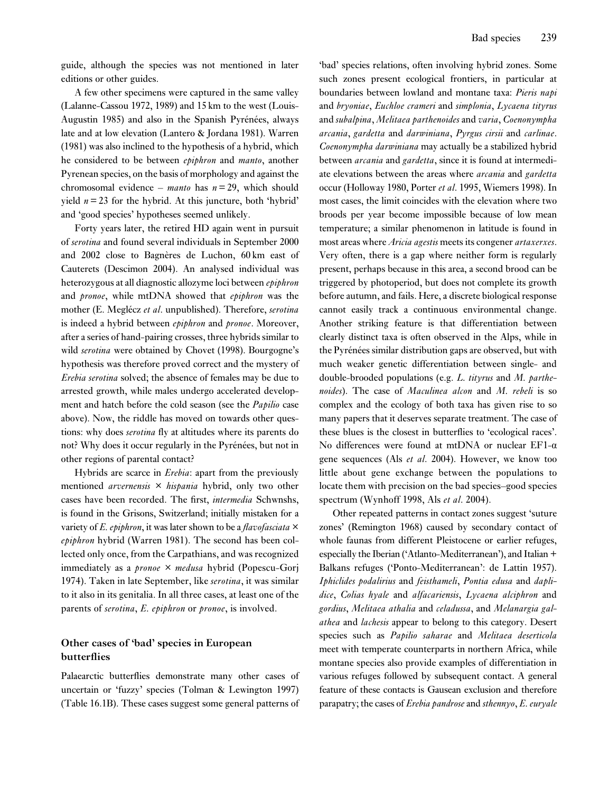guide, although the species was not mentioned in later editions or other guides.

A few other specimens were captured in the same valley (Lalanne-Cassou 1972, 1989) and 15 km to the west (Louis-Augustin 1985) and also in the Spanish Pyrénées, always late and at low elevation (Lantero & Jordana 1981). Warren (1981) was also inclined to the hypothesis of a hybrid, which he considered to be between epiphron and manto, another Pyrenean species, on the basis of morphology and against the chromosomal evidence – manto has  $n = 29$ , which should yield  $n = 23$  for the hybrid. At this juncture, both 'hybrid' and 'good species' hypotheses seemed unlikely.

Forty years later, the retired HD again went in pursuit of serotina and found several individuals in September 2000 and 2002 close to Bagnères de Luchon, 60 km east of Cauterets (Descimon 2004). An analysed individual was heterozygous at all diagnostic allozyme loci between epiphron and pronoe, while mtDNA showed that epiphron was the mother (E. Meglécz et al. unpublished). Therefore, serotina is indeed a hybrid between epiphron and pronoe. Moreover, after a series of hand-pairing crosses, three hybrids similar to wild serotina were obtained by Chovet (1998). Bourgogne's hypothesis was therefore proved correct and the mystery of Erebia serotina solved; the absence of females may be due to arrested growth, while males undergo accelerated development and hatch before the cold season (see the Papilio case above). Now, the riddle has moved on towards other questions: why does serotina fly at altitudes where its parents do not? Why does it occur regularly in the Pyrénées, but not in other regions of parental contact?

Hybrids are scarce in Erebia: apart from the previously mentioned arvernensis  $\times$  hispania hybrid, only two other cases have been recorded. The first, intermedia Schwnshs, is found in the Grisons, Switzerland; initially mistaken for a variety of E. epiphron, it was later shown to be a flavofasciata  $\times$ epiphron hybrid (Warren 1981). The second has been collected only once, from the Carpathians, and was recognized immediately as a *pronoe*  $\times$  *medusa* hybrid (Popescu-Gori) 1974). Taken in late September, like serotina, it was similar to it also in its genitalia. In all three cases, at least one of the parents of serotina, E. epiphron or pronoe, is involved.

### Other cases of 'bad' species in European butterflies

Palaearctic butterflies demonstrate many other cases of uncertain or 'fuzzy' species (Tolman & Lewington 1997) (Table 16.1B). These cases suggest some general patterns of

'bad' species relations, often involving hybrid zones. Some such zones present ecological frontiers, in particular at boundaries between lowland and montane taxa: Pieris napi and bryoniae, Euchloe crameri and simplonia, Lycaena tityrus and subalpina, Melitaea parthenoides and varia, Coenonympha arcania, gardetta and darwiniana, Pyrgus cirsii and carlinae. Coenonympha darwiniana may actually be a stabilized hybrid between *arcania* and *gardetta*, since it is found at intermediate elevations between the areas where arcania and gardetta occur (Holloway 1980, Porter et al. 1995, Wiemers 1998). In most cases, the limit coincides with the elevation where two broods per year become impossible because of low mean temperature; a similar phenomenon in latitude is found in most areas where Aricia agestis meets its congener artaxerxes. Very often, there is a gap where neither form is regularly present, perhaps because in this area, a second brood can be triggered by photoperiod, but does not complete its growth before autumn, and fails. Here, a discrete biological response cannot easily track a continuous environmental change. Another striking feature is that differentiation between clearly distinct taxa is often observed in the Alps, while in the Pyrénées similar distribution gaps are observed, but with much weaker genetic differentiation between single- and double-brooded populations (e.g. L. tityrus and M. parthenoides). The case of Maculinea alcon and M. rebeli is so complex and the ecology of both taxa has given rise to so many papers that it deserves separate treatment. The case of these blues is the closest in butterflies to 'ecological races'. No differences were found at mtDNA or nuclear EF1-α gene sequences (Als et al. 2004). However, we know too little about gene exchange between the populations to locate them with precision on the bad species–good species spectrum (Wynhoff 1998, Als et al. 2004).

Other repeated patterns in contact zones suggest 'suture zones' (Remington 1968) caused by secondary contact of whole faunas from different Pleistocene or earlier refuges, especially the Iberian ('Atlanto-Mediterranean'), and Italian + Balkans refuges ('Ponto-Mediterranean': de Lattin 1957). Iphiclides podalirius and feisthameli, Pontia edusa and daplidice, Colias hyale and alfacariensis, Lycaena alciphron and gordius, Melitaea athalia and celadussa, and Melanargia galathea and lachesis appear to belong to this category. Desert species such as Papilio saharae and Melitaea deserticola meet with temperate counterparts in northern Africa, while montane species also provide examples of differentiation in various refuges followed by subsequent contact. A general feature of these contacts is Gausean exclusion and therefore parapatry; the cases of Erebia pandrose and sthennyo, E. euryale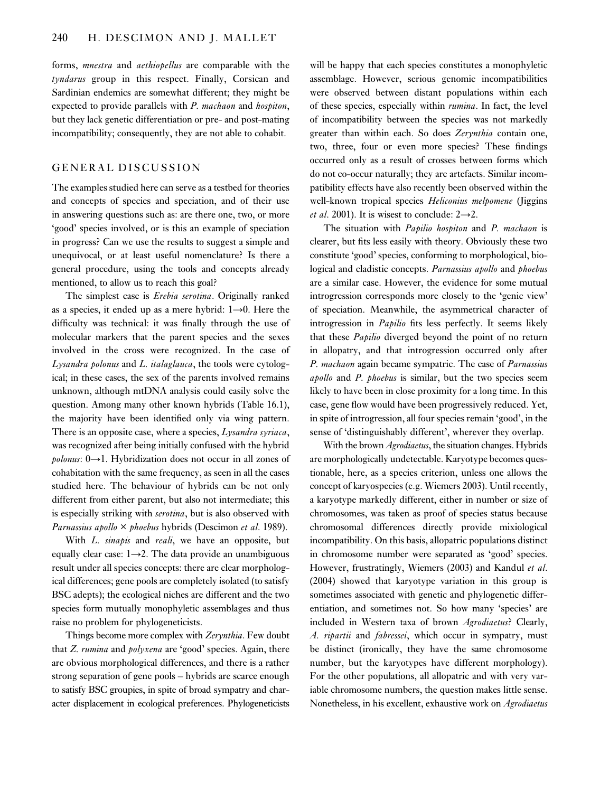forms, mnestra and aethiopellus are comparable with the tyndarus group in this respect. Finally, Corsican and Sardinian endemics are somewhat different; they might be expected to provide parallels with P. machaon and hospiton, but they lack genetic differentiation or pre- and post-mating incompatibility; consequently, they are not able to cohabit.

### GENERAL DISCUSSION

The examples studied here can serve as a testbed for theories and concepts of species and speciation, and of their use in answering questions such as: are there one, two, or more 'good' species involved, or is this an example of speciation in progress? Can we use the results to suggest a simple and unequivocal, or at least useful nomenclature? Is there a general procedure, using the tools and concepts already mentioned, to allow us to reach this goal?

The simplest case is Erebia serotina. Originally ranked as a species, it ended up as a mere hybrid: 1→0. Here the difficulty was technical: it was finally through the use of molecular markers that the parent species and the sexes involved in the cross were recognized. In the case of Lysandra polonus and L. italaglauca, the tools were cytological; in these cases, the sex of the parents involved remains unknown, although mtDNA analysis could easily solve the question. Among many other known hybrids (Table 16.1), the majority have been identified only via wing pattern. There is an opposite case, where a species, Lysandra syriaca, was recognized after being initially confused with the hybrid polonus: 0→1. Hybridization does not occur in all zones of cohabitation with the same frequency, as seen in all the cases studied here. The behaviour of hybrids can be not only different from either parent, but also not intermediate; this is especially striking with serotina, but is also observed with *Parnassius apollo*  $\times$  *phoebus* hybrids (Descimon *et al.* 1989).

With L. sinapis and reali, we have an opposite, but equally clear case:  $1\rightarrow 2$ . The data provide an unambiguous result under all species concepts: there are clear morphological differences; gene pools are completely isolated (to satisfy BSC adepts); the ecological niches are different and the two species form mutually monophyletic assemblages and thus raise no problem for phylogeneticists.

Things become more complex with Zerynthia. Few doubt that Z. rumina and polyxena are 'good' species. Again, there are obvious morphological differences, and there is a rather strong separation of gene pools – hybrids are scarce enough to satisfy BSC groupies, in spite of broad sympatry and character displacement in ecological preferences. Phylogeneticists

will be happy that each species constitutes a monophyletic assemblage. However, serious genomic incompatibilities were observed between distant populations within each of these species, especially within rumina. In fact, the level of incompatibility between the species was not markedly greater than within each. So does Zerynthia contain one, two, three, four or even more species? These findings occurred only as a result of crosses between forms which do not co-occur naturally; they are artefacts. Similar incompatibility effects have also recently been observed within the well-known tropical species Heliconius melpomene (Jiggins *et al.* 2001). It is wisest to conclude:  $2\rightarrow 2$ .

The situation with Papilio hospiton and P. machaon is clearer, but fits less easily with theory. Obviously these two constitute 'good' species, conforming to morphological, biological and cladistic concepts. Parnassius apollo and phoebus are a similar case. However, the evidence for some mutual introgression corresponds more closely to the 'genic view' of speciation. Meanwhile, the asymmetrical character of introgression in Papilio fits less perfectly. It seems likely that these Papilio diverged beyond the point of no return in allopatry, and that introgression occurred only after P. machaon again became sympatric. The case of Parnassius apollo and P. phoebus is similar, but the two species seem likely to have been in close proximity for a long time. In this case, gene flow would have been progressively reduced. Yet, in spite of introgression, all four species remain 'good', in the sense of 'distinguishably different', wherever they overlap.

With the brown Agrodiaetus, the situation changes. Hybrids are morphologically undetectable. Karyotype becomes questionable, here, as a species criterion, unless one allows the concept of karyospecies (e.g. Wiemers 2003). Until recently, a karyotype markedly different, either in number or size of chromosomes, was taken as proof of species status because chromosomal differences directly provide mixiological incompatibility. On this basis, allopatric populations distinct in chromosome number were separated as 'good' species. However, frustratingly, Wiemers (2003) and Kandul et al. (2004) showed that karyotype variation in this group is sometimes associated with genetic and phylogenetic differentiation, and sometimes not. So how many 'species' are included in Western taxa of brown Agrodiaetus? Clearly, A. ripartii and fabressei, which occur in sympatry, must be distinct (ironically, they have the same chromosome number, but the karyotypes have different morphology). For the other populations, all allopatric and with very variable chromosome numbers, the question makes little sense. Nonetheless, in his excellent, exhaustive work on Agrodiaetus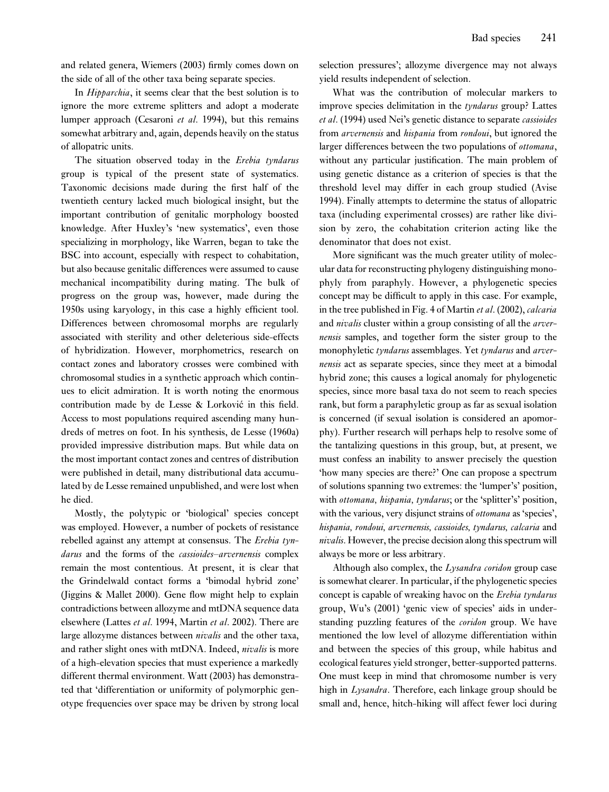and related genera, Wiemers (2003) firmly comes down on the side of all of the other taxa being separate species.

In Hipparchia, it seems clear that the best solution is to ignore the more extreme splitters and adopt a moderate lumper approach (Cesaroni et al. 1994), but this remains somewhat arbitrary and, again, depends heavily on the status of allopatric units.

The situation observed today in the Erebia tyndarus group is typical of the present state of systematics. Taxonomic decisions made during the first half of the twentieth century lacked much biological insight, but the important contribution of genitalic morphology boosted knowledge. After Huxley's 'new systematics', even those specializing in morphology, like Warren, began to take the BSC into account, especially with respect to cohabitation, but also because genitalic differences were assumed to cause mechanical incompatibility during mating. The bulk of progress on the group was, however, made during the 1950s using karyology, in this case a highly efficient tool. Differences between chromosomal morphs are regularly associated with sterility and other deleterious side-effects of hybridization. However, morphometrics, research on contact zones and laboratory crosses were combined with chromosomal studies in a synthetic approach which continues to elicit admiration. It is worth noting the enormous contribution made by de Lesse & Lorković in this field. Access to most populations required ascending many hundreds of metres on foot. In his synthesis, de Lesse (1960a) provided impressive distribution maps. But while data on the most important contact zones and centres of distribution were published in detail, many distributional data accumulated by de Lesse remained unpublished, and were lost when he died.

Mostly, the polytypic or 'biological' species concept was employed. However, a number of pockets of resistance rebelled against any attempt at consensus. The Erebia tyndarus and the forms of the *cassioides–arvernensis* complex remain the most contentious. At present, it is clear that the Grindelwald contact forms a 'bimodal hybrid zone' (Jiggins & Mallet 2000). Gene flow might help to explain contradictions between allozyme and mtDNA sequence data elsewhere (Lattes et al. 1994, Martin et al. 2002). There are large allozyme distances between nivalis and the other taxa, and rather slight ones with mtDNA. Indeed, *nivalis* is more of a high-elevation species that must experience a markedly different thermal environment. Watt (2003) has demonstrated that 'differentiation or uniformity of polymorphic genotype frequencies over space may be driven by strong local selection pressures'; allozyme divergence may not always yield results independent of selection.

What was the contribution of molecular markers to improve species delimitation in the tyndarus group? Lattes et al. (1994) used Nei's genetic distance to separate cassioides from arvernensis and hispania from rondoui, but ignored the larger differences between the two populations of ottomana, without any particular justification. The main problem of using genetic distance as a criterion of species is that the threshold level may differ in each group studied (Avise 1994). Finally attempts to determine the status of allopatric taxa (including experimental crosses) are rather like division by zero, the cohabitation criterion acting like the denominator that does not exist.

More significant was the much greater utility of molecular data for reconstructing phylogeny distinguishing monophyly from paraphyly. However, a phylogenetic species concept may be difficult to apply in this case. For example, in the tree published in Fig. 4 of Martin et al. (2002), calcaria and nivalis cluster within a group consisting of all the arvernensis samples, and together form the sister group to the monophyletic tyndarus assemblages. Yet tyndarus and arvernensis act as separate species, since they meet at a bimodal hybrid zone; this causes a logical anomaly for phylogenetic species, since more basal taxa do not seem to reach species rank, but form a paraphyletic group as far as sexual isolation is concerned (if sexual isolation is considered an apomorphy). Further research will perhaps help to resolve some of the tantalizing questions in this group, but, at present, we must confess an inability to answer precisely the question 'how many species are there?' One can propose a spectrum of solutions spanning two extremes: the 'lumper's' position, with *ottomana*, hispania, tyndarus; or the 'splitter's' position, with the various, very disjunct strains of ottomana as 'species', hispania, rondoui, arvernensis, cassioides, tyndarus, calcaria and nivalis. However, the precise decision along this spectrum will always be more or less arbitrary.

Although also complex, the *Lysandra coridon* group case is somewhat clearer. In particular, if the phylogenetic species concept is capable of wreaking havoc on the Erebia tyndarus group, Wu's (2001) 'genic view of species' aids in understanding puzzling features of the coridon group. We have mentioned the low level of allozyme differentiation within and between the species of this group, while habitus and ecological features yield stronger, better-supported patterns. One must keep in mind that chromosome number is very high in Lysandra. Therefore, each linkage group should be small and, hence, hitch-hiking will affect fewer loci during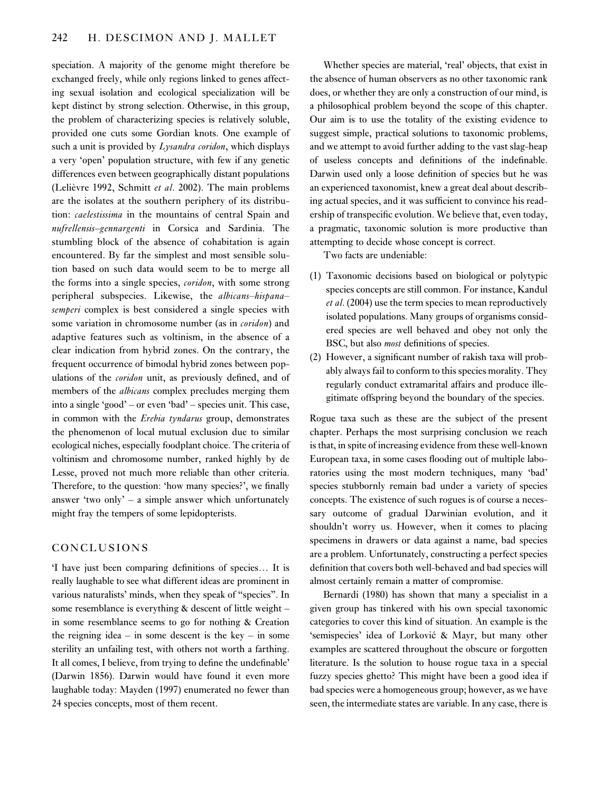speciation. A majority of the genome might therefore be exchanged freely, while only regions linked to genes affecting sexual isolation and ecological specialization will be kept distinct by strong selection. Otherwise, in this group, the problem of characterizing species is relatively soluble, provided one cuts some Gordian knots. One example of such a unit is provided by Lysandra coridon, which displays a very 'open' population structure, with few if any genetic differences even between geographically distant populations (Lelièvre 1992, Schmitt et al. 2002). The main problems are the isolates at the southern periphery of its distribution: caelestissima in the mountains of central Spain and nufrellensis–gennargenti in Corsica and Sardinia. The stumbling block of the absence of cohabitation is again encountered. By far the simplest and most sensible solution based on such data would seem to be to merge all the forms into a single species, coridon, with some strong peripheral subspecies. Likewise, the albicans–hispana– semperi complex is best considered a single species with some variation in chromosome number (as in *coridon*) and adaptive features such as voltinism, in the absence of a clear indication from hybrid zones. On the contrary, the frequent occurrence of bimodal hybrid zones between populations of the coridon unit, as previously defined, and of members of the albicans complex precludes merging them into a single 'good' – or even 'bad' – species unit. This case, in common with the *Erebia tyndarus* group, demonstrates the phenomenon of local mutual exclusion due to similar ecological niches, especially foodplant choice. The criteria of voltinism and chromosome number, ranked highly by de Lesse, proved not much more reliable than other criteria. Therefore, to the question: 'how many species?', we finally answer 'two only' – a simple answer which unfortunately might fray the tempers of some lepidopterists.

### CONCLUSIONS

'I have just been comparing definitions of species… It is really laughable to see what different ideas are prominent in various naturalists' minds, when they speak of "species". In some resemblance is everything & descent of little weight – in some resemblance seems to go for nothing & Creation the reigning idea – in some descent is the key – in some sterility an unfailing test, with others not worth a farthing. It all comes, I believe, from trying to define the undefinable' (Darwin 1856). Darwin would have found it even more laughable today: Mayden (1997) enumerated no fewer than 24 species concepts, most of them recent.

Whether species are material, 'real' objects, that exist in the absence of human observers as no other taxonomic rank does, or whether they are only a construction of our mind, is a philosophical problem beyond the scope of this chapter. Our aim is to use the totality of the existing evidence to suggest simple, practical solutions to taxonomic problems, and we attempt to avoid further adding to the vast slag-heap of useless concepts and definitions of the indefinable. Darwin used only a loose definition of species but he was an experienced taxonomist, knew a great deal about describing actual species, and it was sufficient to convince his readership of transpecific evolution. We believe that, even today, a pragmatic, taxonomic solution is more productive than attempting to decide whose concept is correct.

Two facts are undeniable:

- (1) Taxonomic decisions based on biological or polytypic species concepts are still common. For instance, Kandul et al. (2004) use the term species to mean reproductively isolated populations. Many groups of organisms considered species are well behaved and obey not only the BSC, but also *most* definitions of species.
- (2) However, a significant number of rakish taxa will probably always fail to conform to this species morality. They regularly conduct extramarital affairs and produce illegitimate offspring beyond the boundary of the species.

Rogue taxa such as these are the subject of the present chapter. Perhaps the most surprising conclusion we reach is that, in spite of increasing evidence from these well-known European taxa, in some cases flooding out of multiple laboratories using the most modern techniques, many 'bad' species stubbornly remain bad under a variety of species concepts. The existence of such rogues is of course a necessary outcome of gradual Darwinian evolution, and it shouldn't worry us. However, when it comes to placing specimens in drawers or data against a name, bad species are a problem. Unfortunately, constructing a perfect species definition that covers both well-behaved and bad species will almost certainly remain a matter of compromise.

Bernardi (1980) has shown that many a specialist in a given group has tinkered with his own special taxonomic categories to cover this kind of situation. An example is the 'semispecies' idea of Lorković & Mayr, but many other examples are scattered throughout the obscure or forgotten literature. Is the solution to house rogue taxa in a special fuzzy species ghetto? This might have been a good idea if bad species were a homogeneous group; however, as we have seen, the intermediate states are variable. In any case, there is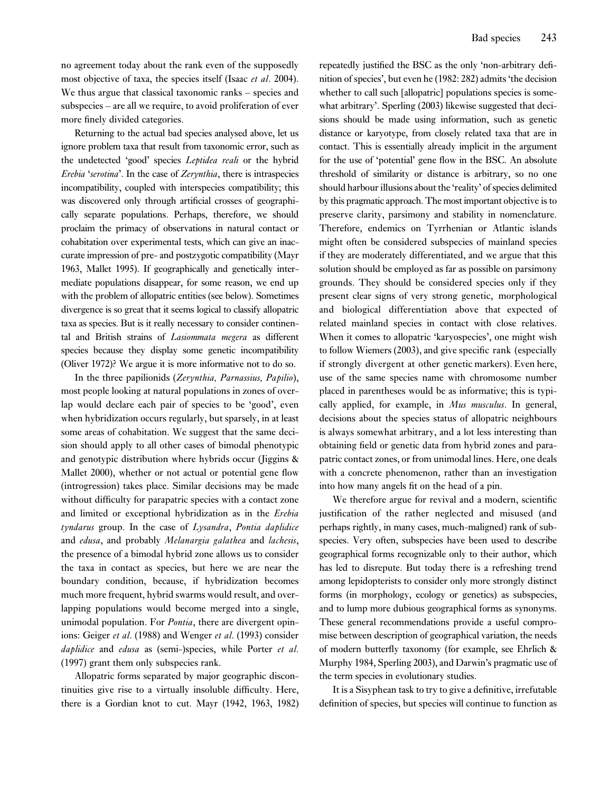no agreement today about the rank even of the supposedly most objective of taxa, the species itself (Isaac et al. 2004). We thus argue that classical taxonomic ranks – species and subspecies – are all we require, to avoid proliferation of ever more finely divided categories.

Returning to the actual bad species analysed above, let us ignore problem taxa that result from taxonomic error, such as the undetected 'good' species Leptidea reali or the hybrid Erebia 'serotina'. In the case of Zerynthia, there is intraspecies incompatibility, coupled with interspecies compatibility; this was discovered only through artificial crosses of geographically separate populations. Perhaps, therefore, we should proclaim the primacy of observations in natural contact or cohabitation over experimental tests, which can give an inaccurate impression of pre- and postzygotic compatibility (Mayr 1963, Mallet 1995). If geographically and genetically intermediate populations disappear, for some reason, we end up with the problem of allopatric entities (see below). Sometimes divergence is so great that it seems logical to classify allopatric taxa as species. But is it really necessary to consider continental and British strains of Lasiommata megera as different species because they display some genetic incompatibility (Oliver 1972)? We argue it is more informative not to do so.

In the three papilionids (Zerynthia, Parnassius, Papilio), most people looking at natural populations in zones of overlap would declare each pair of species to be 'good', even when hybridization occurs regularly, but sparsely, in at least some areas of cohabitation. We suggest that the same decision should apply to all other cases of bimodal phenotypic and genotypic distribution where hybrids occur (Jiggins & Mallet 2000), whether or not actual or potential gene flow (introgression) takes place. Similar decisions may be made without difficulty for parapatric species with a contact zone and limited or exceptional hybridization as in the Erebia tyndarus group. In the case of Lysandra, Pontia daplidice and edusa, and probably Melanargia galathea and lachesis, the presence of a bimodal hybrid zone allows us to consider the taxa in contact as species, but here we are near the boundary condition, because, if hybridization becomes much more frequent, hybrid swarms would result, and overlapping populations would become merged into a single, unimodal population. For Pontia, there are divergent opinions: Geiger et al. (1988) and Wenger et al. (1993) consider daplidice and edusa as (semi-)species, while Porter et al. (1997) grant them only subspecies rank.

Allopatric forms separated by major geographic discontinuities give rise to a virtually insoluble difficulty. Here, there is a Gordian knot to cut. Mayr (1942, 1963, 1982) repeatedly justified the BSC as the only 'non-arbitrary definition of species', but even he (1982: 282) admits'the decision whether to call such [allopatric] populations species is somewhat arbitrary'. Sperling (2003) likewise suggested that decisions should be made using information, such as genetic distance or karyotype, from closely related taxa that are in contact. This is essentially already implicit in the argument for the use of 'potential' gene flow in the BSC. An absolute threshold of similarity or distance is arbitrary, so no one should harbour illusions about the 'reality' of species delimited by this pragmatic approach. The most important objective is to preserve clarity, parsimony and stability in nomenclature. Therefore, endemics on Tyrrhenian or Atlantic islands might often be considered subspecies of mainland species if they are moderately differentiated, and we argue that this solution should be employed as far as possible on parsimony grounds. They should be considered species only if they present clear signs of very strong genetic, morphological and biological differentiation above that expected of related mainland species in contact with close relatives. When it comes to allopatric 'karyospecies', one might wish to follow Wiemers (2003), and give specific rank (especially if strongly divergent at other genetic markers). Even here, use of the same species name with chromosome number placed in parentheses would be as informative; this is typically applied, for example, in Mus musculus. In general, decisions about the species status of allopatric neighbours is always somewhat arbitrary, and a lot less interesting than obtaining field or genetic data from hybrid zones and parapatric contact zones, or from unimodal lines. Here, one deals with a concrete phenomenon, rather than an investigation into how many angels fit on the head of a pin.

We therefore argue for revival and a modern, scientific justification of the rather neglected and misused (and perhaps rightly, in many cases, much-maligned) rank of subspecies. Very often, subspecies have been used to describe geographical forms recognizable only to their author, which has led to disrepute. But today there is a refreshing trend among lepidopterists to consider only more strongly distinct forms (in morphology, ecology or genetics) as subspecies, and to lump more dubious geographical forms as synonyms. These general recommendations provide a useful compromise between description of geographical variation, the needs of modern butterfly taxonomy (for example, see Ehrlich & Murphy 1984, Sperling 2003), and Darwin's pragmatic use of the term species in evolutionary studies.

It is a Sisyphean task to try to give a definitive, irrefutable definition of species, but species will continue to function as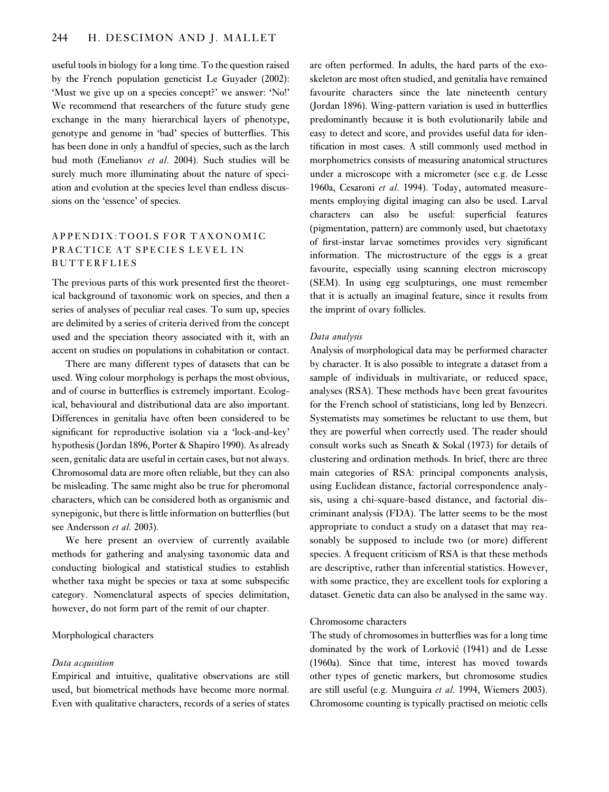useful tools in biology for a long time. To the question raised by the French population geneticist Le Guyader (2002): 'Must we give up on a species concept?' we answer: 'No!' We recommend that researchers of the future study gene exchange in the many hierarchical layers of phenotype, genotype and genome in 'bad' species of butterflies. This has been done in only a handful of species, such as the larch bud moth (Emelianov et al. 2004). Such studies will be surely much more illuminating about the nature of speciation and evolution at the species level than endless discussions on the 'essence' of species.

## APPENDIX:TOOLS FOR TAXONOMIC PRACTICE AT SPECIES LEVEL IN BUTTERFLIES

The previous parts of this work presented first the theoretical background of taxonomic work on species, and then a series of analyses of peculiar real cases. To sum up, species are delimited by a series of criteria derived from the concept used and the speciation theory associated with it, with an accent on studies on populations in cohabitation or contact.

There are many different types of datasets that can be used. Wing colour morphology is perhaps the most obvious, and of course in butterflies is extremely important. Ecological, behavioural and distributional data are also important. Differences in genitalia have often been considered to be significant for reproductive isolation via a 'lock-and-key' hypothesis (Jordan 1896, Porter & Shapiro 1990). As already seen, genitalic data are useful in certain cases, but not always. Chromosomal data are more often reliable, but they can also be misleading. The same might also be true for pheromonal characters, which can be considered both as organismic and synepigonic, but there is little information on butterflies (but see Andersson et al. 2003).

We here present an overview of currently available methods for gathering and analysing taxonomic data and conducting biological and statistical studies to establish whether taxa might be species or taxa at some subspecific category. Nomenclatural aspects of species delimitation, however, do not form part of the remit of our chapter.

#### Morphological characters

### Data acquisition

Empirical and intuitive, qualitative observations are still used, but biometrical methods have become more normal. Even with qualitative characters, records of a series of states

are often performed. In adults, the hard parts of the exoskeleton are most often studied, and genitalia have remained favourite characters since the late nineteenth century (Jordan 1896). Wing-pattern variation is used in butterflies predominantly because it is both evolutionarily labile and easy to detect and score, and provides useful data for identification in most cases. A still commonly used method in morphometrics consists of measuring anatomical structures under a microscope with a micrometer (see e.g. de Lesse 1960a, Cesaroni et al. 1994). Today, automated measurements employing digital imaging can also be used. Larval characters can also be useful: superficial features (pigmentation, pattern) are commonly used, but chaetotaxy of first-instar larvae sometimes provides very significant information. The microstructure of the eggs is a great favourite, especially using scanning electron microscopy (SEM). In using egg sculpturings, one must remember that it is actually an imaginal feature, since it results from the imprint of ovary follicles.

#### Data analysis

Analysis of morphological data may be performed character by character. It is also possible to integrate a dataset from a sample of individuals in multivariate, or reduced space, analyses (RSA). These methods have been great favourites for the French school of statisticians, long led by Benzecri. Systematists may sometimes be reluctant to use them, but they are powerful when correctly used. The reader should consult works such as Sneath & Sokal (1973) for details of clustering and ordination methods. In brief, there are three main categories of RSA: principal components analysis, using Euclidean distance, factorial correspondence analysis, using a chi-square-based distance, and factorial discriminant analysis (FDA). The latter seems to be the most appropriate to conduct a study on a dataset that may reasonably be supposed to include two (or more) different species. A frequent criticism of RSA is that these methods are descriptive, rather than inferential statistics. However, with some practice, they are excellent tools for exploring a dataset. Genetic data can also be analysed in the same way.

### Chromosome characters

The study of chromosomes in butterflies was for a long time dominated by the work of Lorković (1941) and de Lesse (1960a). Since that time, interest has moved towards other types of genetic markers, but chromosome studies are still useful (e.g. Munguira et al. 1994, Wiemers 2003). Chromosome counting is typically practised on meiotic cells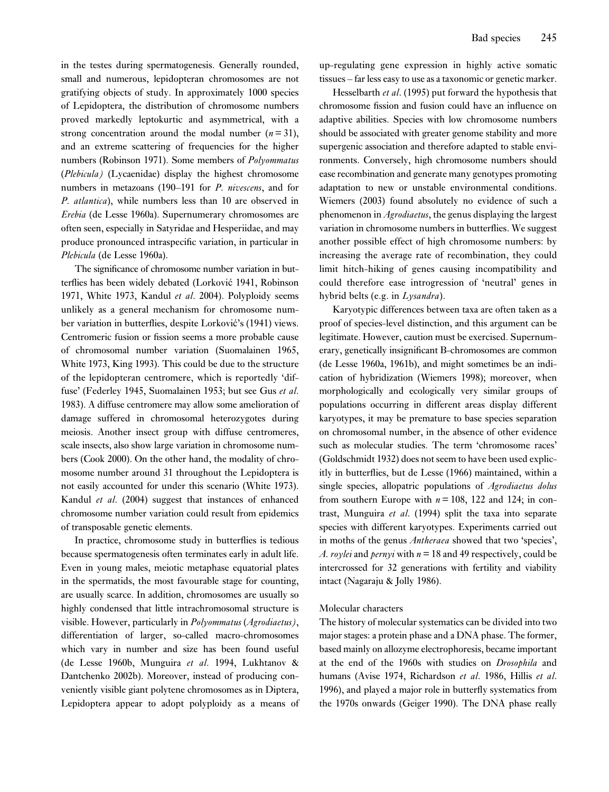in the testes during spermatogenesis. Generally rounded, small and numerous, lepidopteran chromosomes are not gratifying objects of study. In approximately 1000 species of Lepidoptera, the distribution of chromosome numbers proved markedly leptokurtic and asymmetrical, with a strong concentration around the modal number  $(n=31)$ , and an extreme scattering of frequencies for the higher numbers (Robinson 1971). Some members of Polyommatus (Plebicula) (Lycaenidae) display the highest chromosome numbers in metazoans (190–191 for P. nivescens, and for P. atlantica), while numbers less than 10 are observed in Erebia (de Lesse 1960a). Supernumerary chromosomes are often seen, especially in Satyridae and Hesperiidae, and may produce pronounced intraspecific variation, in particular in Plebicula (de Lesse 1960a).

The significance of chromosome number variation in butterflies has been widely debated (Lorković 1941, Robinson 1971, White 1973, Kandul et al. 2004). Polyploidy seems unlikely as a general mechanism for chromosome number variation in butterflies, despite Lorković's (1941) views. Centromeric fusion or fission seems a more probable cause of chromosomal number variation (Suomalainen 1965, White 1973, King 1993). This could be due to the structure of the lepidopteran centromere, which is reportedly 'diffuse' (Federley 1945, Suomalainen 1953; but see Gus et al. 1983). A diffuse centromere may allow some amelioration of damage suffered in chromosomal heterozygotes during meiosis. Another insect group with diffuse centromeres, scale insects, also show large variation in chromosome numbers (Cook 2000). On the other hand, the modality of chromosome number around 31 throughout the Lepidoptera is not easily accounted for under this scenario (White 1973). Kandul et al. (2004) suggest that instances of enhanced chromosome number variation could result from epidemics of transposable genetic elements.

In practice, chromosome study in butterflies is tedious because spermatogenesis often terminates early in adult life. Even in young males, meiotic metaphase equatorial plates in the spermatids, the most favourable stage for counting, are usually scarce. In addition, chromosomes are usually so highly condensed that little intrachromosomal structure is visible. However, particularly in Polyommatus (Agrodiaetus), differentiation of larger, so-called macro-chromosomes which vary in number and size has been found useful (de Lesse 1960b, Munguira et al. 1994, Lukhtanov & Dantchenko 2002b). Moreover, instead of producing conveniently visible giant polytene chromosomes as in Diptera, Lepidoptera appear to adopt polyploidy as a means of up-regulating gene expression in highly active somatic tissues – far less easy to use as a taxonomic or genetic marker.

Hesselbarth et al. (1995) put forward the hypothesis that chromosome fission and fusion could have an influence on adaptive abilities. Species with low chromosome numbers should be associated with greater genome stability and more supergenic association and therefore adapted to stable environments. Conversely, high chromosome numbers should ease recombination and generate many genotypes promoting adaptation to new or unstable environmental conditions. Wiemers (2003) found absolutely no evidence of such a phenomenon in Agrodiaetus, the genus displaying the largest variation in chromosome numbers in butterflies. We suggest another possible effect of high chromosome numbers: by increasing the average rate of recombination, they could limit hitch-hiking of genes causing incompatibility and could therefore ease introgression of 'neutral' genes in hybrid belts (e.g. in Lysandra).

Karyotypic differences between taxa are often taken as a proof of species-level distinction, and this argument can be legitimate. However, caution must be exercised. Supernumerary, genetically insignificant B-chromosomes are common (de Lesse 1960a, 1961b), and might sometimes be an indication of hybridization (Wiemers 1998); moreover, when morphologically and ecologically very similar groups of populations occurring in different areas display different karyotypes, it may be premature to base species separation on chromosomal number, in the absence of other evidence such as molecular studies. The term 'chromosome races' (Goldschmidt 1932) does not seem to have been used explicitly in butterflies, but de Lesse (1966) maintained, within a single species, allopatric populations of Agrodiaetus dolus from southern Europe with  $n = 108$ , 122 and 124; in contrast, Munguira et al. (1994) split the taxa into separate species with different karyotypes. Experiments carried out in moths of the genus Antheraea showed that two 'species', A. roylei and pernyi with  $n = 18$  and 49 respectively, could be intercrossed for 32 generations with fertility and viability intact (Nagaraju & Jolly 1986).

### Molecular characters

The history of molecular systematics can be divided into two major stages: a protein phase and a DNA phase. The former, based mainly on allozyme electrophoresis, became important at the end of the 1960s with studies on Drosophila and humans (Avise 1974, Richardson et al. 1986, Hillis et al. 1996), and played a major role in butterfly systematics from the 1970s onwards (Geiger 1990). The DNA phase really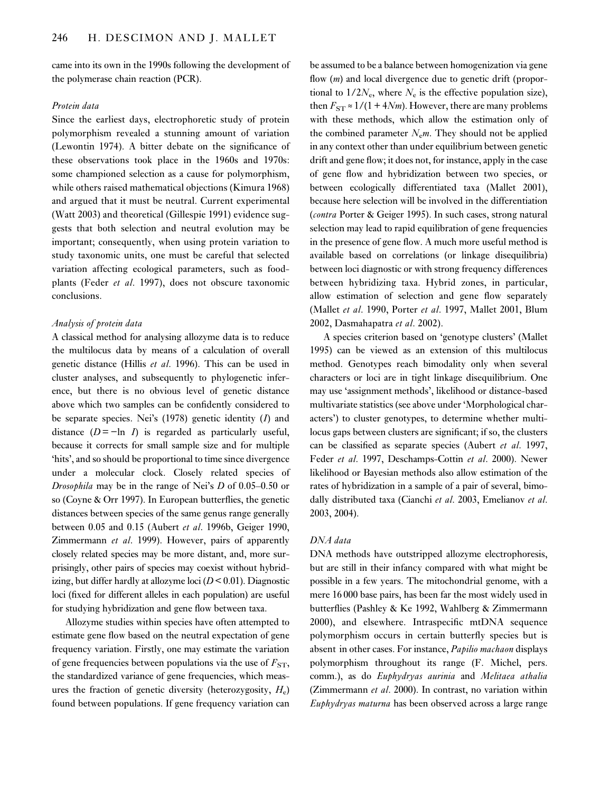came into its own in the 1990s following the development of the polymerase chain reaction (PCR).

#### Protein data

Since the earliest days, electrophoretic study of protein polymorphism revealed a stunning amount of variation (Lewontin 1974). A bitter debate on the significance of these observations took place in the 1960s and 1970s: some championed selection as a cause for polymorphism, while others raised mathematical objections (Kimura 1968) and argued that it must be neutral. Current experimental (Watt 2003) and theoretical (Gillespie 1991) evidence suggests that both selection and neutral evolution may be important; consequently, when using protein variation to study taxonomic units, one must be careful that selected variation affecting ecological parameters, such as foodplants (Feder et al. 1997), does not obscure taxonomic conclusions.

#### Analysis of protein data

A classical method for analysing allozyme data is to reduce the multilocus data by means of a calculation of overall genetic distance (Hillis et al. 1996). This can be used in cluster analyses, and subsequently to phylogenetic inference, but there is no obvious level of genetic distance above which two samples can be confidently considered to be separate species. Nei's (1978) genetic identity  $(I)$  and distance  $(D=-\ln I)$  is regarded as particularly useful, because it corrects for small sample size and for multiple 'hits', and so should be proportional to time since divergence under a molecular clock. Closely related species of Drosophila may be in the range of Nei's D of 0.05–0.50 or so (Coyne & Orr 1997). In European butterflies, the genetic distances between species of the same genus range generally between 0.05 and 0.15 (Aubert et al. 1996b, Geiger 1990, Zimmermann et al. 1999). However, pairs of apparently closely related species may be more distant, and, more surprisingly, other pairs of species may coexist without hybridizing, but differ hardly at allozyme loci  $(D < 0.01)$ . Diagnostic loci (fixed for different alleles in each population) are useful for studying hybridization and gene flow between taxa.

Allozyme studies within species have often attempted to estimate gene flow based on the neutral expectation of gene frequency variation. Firstly, one may estimate the variation of gene frequencies between populations via the use of  $F_{ST}$ , the standardized variance of gene frequencies, which measures the fraction of genetic diversity (heterozygosity,  $H_e$ ) found between populations. If gene frequency variation can

be assumed to be a balance between homogenization via gene flow (*m*) and local divergence due to genetic drift (proportional to  $1/2N_e$ , where  $N_e$  is the effective population size), then  $F_{ST} \approx 1/(1 + 4Nm)$ . However, there are many problems with these methods, which allow the estimation only of the combined parameter  $N_{e}m$ . They should not be applied in any context other than under equilibrium between genetic drift and gene flow; it does not, for instance, apply in the case of gene flow and hybridization between two species, or between ecologically differentiated taxa (Mallet 2001), because here selection will be involved in the differentiation (contra Porter & Geiger 1995). In such cases, strong natural selection may lead to rapid equilibration of gene frequencies in the presence of gene flow. A much more useful method is available based on correlations (or linkage disequilibria) between loci diagnostic or with strong frequency differences between hybridizing taxa. Hybrid zones, in particular, allow estimation of selection and gene flow separately (Mallet et al. 1990, Porter et al. 1997, Mallet 2001, Blum 2002, Dasmahapatra et al. 2002).

A species criterion based on 'genotype clusters' (Mallet 1995) can be viewed as an extension of this multilocus method. Genotypes reach bimodality only when several characters or loci are in tight linkage disequilibrium. One may use 'assignment methods', likelihood or distance-based multivariate statistics (see above under 'Morphological characters') to cluster genotypes, to determine whether multilocus gaps between clusters are significant; if so, the clusters can be classified as separate species (Aubert et al. 1997, Feder et al. 1997, Deschamps-Cottin et al. 2000). Newer likelihood or Bayesian methods also allow estimation of the rates of hybridization in a sample of a pair of several, bimodally distributed taxa (Cianchi et al. 2003, Emelianov et al. 2003, 2004).

### DNA data

DNA methods have outstripped allozyme electrophoresis, but are still in their infancy compared with what might be possible in a few years. The mitochondrial genome, with a mere 16 000 base pairs, has been far the most widely used in butterflies (Pashley & Ke 1992, Wahlberg & Zimmermann 2000), and elsewhere. Intraspecific mtDNA sequence polymorphism occurs in certain butterfly species but is absent in other cases. For instance, Papilio machaon displays polymorphism throughout its range (F. Michel, pers. comm.), as do Euphydryas aurinia and Melitaea athalia (Zimmermann et al. 2000). In contrast, no variation within Euphydryas maturna has been observed across a large range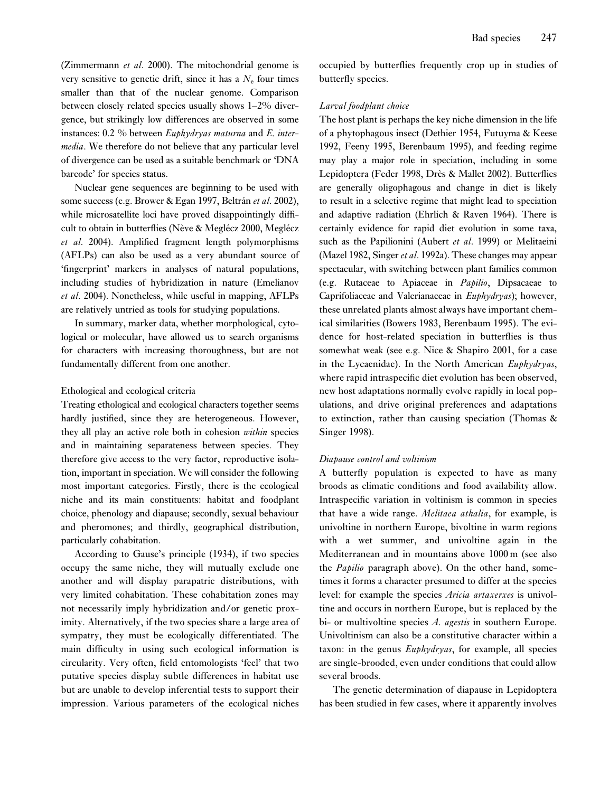(Zimmermann et al. 2000). The mitochondrial genome is very sensitive to genetic drift, since it has a  $N_e$  four times smaller than that of the nuclear genome. Comparison between closely related species usually shows 1–2% divergence, but strikingly low differences are observed in some instances: 0.2 % between Euphydryas maturna and E. intermedia. We therefore do not believe that any particular level of divergence can be used as a suitable benchmark or 'DNA barcode' for species status.

Nuclear gene sequences are beginning to be used with some success (e.g. Brower & Egan 1997, Beltrán et al. 2002), while microsatellite loci have proved disappointingly difficult to obtain in butterflies (Nève & Meglécz 2000, Meglécz et al. 2004). Amplified fragment length polymorphisms (AFLPs) can also be used as a very abundant source of 'fingerprint' markers in analyses of natural populations, including studies of hybridization in nature (Emelianov et al. 2004). Nonetheless, while useful in mapping, AFLPs are relatively untried as tools for studying populations.

In summary, marker data, whether morphological, cytological or molecular, have allowed us to search organisms for characters with increasing thoroughness, but are not fundamentally different from one another.

### Ethological and ecological criteria

Treating ethological and ecological characters together seems hardly justified, since they are heterogeneous. However, they all play an active role both in cohesion within species and in maintaining separateness between species. They therefore give access to the very factor, reproductive isolation, important in speciation. We will consider the following most important categories. Firstly, there is the ecological niche and its main constituents: habitat and foodplant choice, phenology and diapause; secondly, sexual behaviour and pheromones; and thirdly, geographical distribution, particularly cohabitation.

According to Gause's principle (1934), if two species occupy the same niche, they will mutually exclude one another and will display parapatric distributions, with very limited cohabitation. These cohabitation zones may not necessarily imply hybridization and/or genetic proximity. Alternatively, if the two species share a large area of sympatry, they must be ecologically differentiated. The main difficulty in using such ecological information is circularity. Very often, field entomologists 'feel' that two putative species display subtle differences in habitat use but are unable to develop inferential tests to support their impression. Various parameters of the ecological niches occupied by butterflies frequently crop up in studies of butterfly species.

### Larval foodplant choice

The host plant is perhaps the key niche dimension in the life of a phytophagous insect (Dethier 1954, Futuyma & Keese 1992, Feeny 1995, Berenbaum 1995), and feeding regime may play a major role in speciation, including in some Lepidoptera (Feder 1998, Drès & Mallet 2002). Butterflies are generally oligophagous and change in diet is likely to result in a selective regime that might lead to speciation and adaptive radiation (Ehrlich & Raven 1964). There is certainly evidence for rapid diet evolution in some taxa, such as the Papilionini (Aubert et al. 1999) or Melitaeini (Mazel 1982, Singer et al. 1992a). These changes may appear spectacular, with switching between plant families common (e.g. Rutaceae to Apiaceae in Papilio, Dipsacaeae to Caprifoliaceae and Valerianaceae in Euphydryas); however, these unrelated plants almost always have important chemical similarities (Bowers 1983, Berenbaum 1995). The evidence for host-related speciation in butterflies is thus somewhat weak (see e.g. Nice & Shapiro 2001, for a case in the Lycaenidae). In the North American Euphydryas, where rapid intraspecific diet evolution has been observed, new host adaptations normally evolve rapidly in local populations, and drive original preferences and adaptations to extinction, rather than causing speciation (Thomas & Singer 1998).

### Diapause control and voltinism

A butterfly population is expected to have as many broods as climatic conditions and food availability allow. Intraspecific variation in voltinism is common in species that have a wide range. Melitaea athalia, for example, is univoltine in northern Europe, bivoltine in warm regions with a wet summer, and univoltine again in the Mediterranean and in mountains above 1000 m (see also the Papilio paragraph above). On the other hand, sometimes it forms a character presumed to differ at the species level: for example the species Aricia artaxerxes is univoltine and occurs in northern Europe, but is replaced by the bi- or multivoltine species A. agestis in southern Europe. Univoltinism can also be a constitutive character within a taxon: in the genus Euphydryas, for example, all species are single-brooded, even under conditions that could allow several broods.

The genetic determination of diapause in Lepidoptera has been studied in few cases, where it apparently involves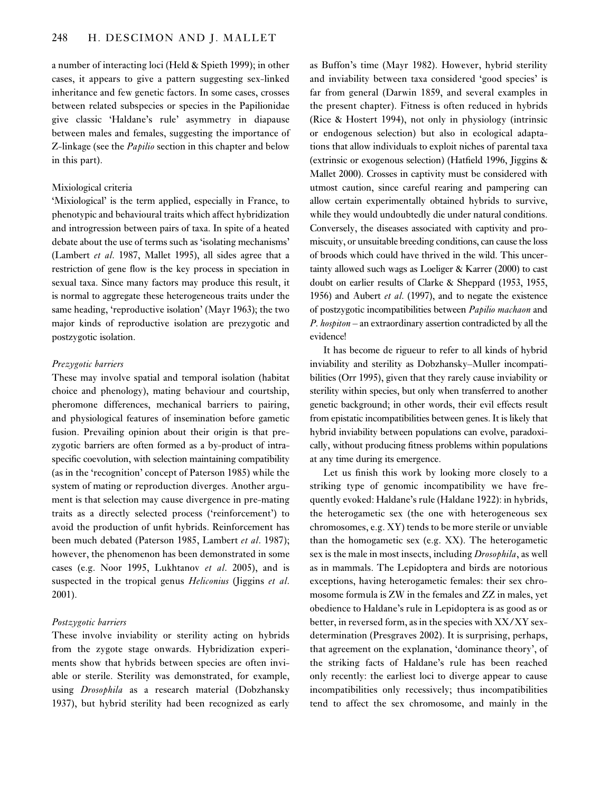a number of interacting loci (Held & Spieth 1999); in other cases, it appears to give a pattern suggesting sex-linked inheritance and few genetic factors. In some cases, crosses between related subspecies or species in the Papilionidae give classic 'Haldane's rule' asymmetry in diapause between males and females, suggesting the importance of Z-linkage (see the Papilio section in this chapter and below in this part).

### Mixiological criteria

'Mixiological' is the term applied, especially in France, to phenotypic and behavioural traits which affect hybridization and introgression between pairs of taxa. In spite of a heated debate about the use of terms such as 'isolating mechanisms' (Lambert et al. 1987, Mallet 1995), all sides agree that a restriction of gene flow is the key process in speciation in sexual taxa. Since many factors may produce this result, it is normal to aggregate these heterogeneous traits under the same heading, 'reproductive isolation' (Mayr 1963); the two major kinds of reproductive isolation are prezygotic and postzygotic isolation.

#### Prezygotic barriers

These may involve spatial and temporal isolation (habitat choice and phenology), mating behaviour and courtship, pheromone differences, mechanical barriers to pairing, and physiological features of insemination before gametic fusion. Prevailing opinion about their origin is that prezygotic barriers are often formed as a by-product of intraspecific coevolution, with selection maintaining compatibility (as in the 'recognition' concept of Paterson 1985) while the system of mating or reproduction diverges. Another argument is that selection may cause divergence in pre-mating traits as a directly selected process ('reinforcement') to avoid the production of unfit hybrids. Reinforcement has been much debated (Paterson 1985, Lambert et al. 1987); however, the phenomenon has been demonstrated in some cases (e.g. Noor 1995, Lukhtanov et al. 2005), and is suspected in the tropical genus Heliconius (Jiggins et al. 2001).

#### Postzygotic barriers

These involve inviability or sterility acting on hybrids from the zygote stage onwards. Hybridization experiments show that hybrids between species are often inviable or sterile. Sterility was demonstrated, for example, using Drosophila as a research material (Dobzhansky 1937), but hybrid sterility had been recognized as early

as Buffon's time (Mayr 1982). However, hybrid sterility and inviability between taxa considered 'good species' is far from general (Darwin 1859, and several examples in the present chapter). Fitness is often reduced in hybrids (Rice & Hostert 1994), not only in physiology (intrinsic or endogenous selection) but also in ecological adaptations that allow individuals to exploit niches of parental taxa (extrinsic or exogenous selection) (Hatfield 1996, Jiggins & Mallet 2000). Crosses in captivity must be considered with utmost caution, since careful rearing and pampering can allow certain experimentally obtained hybrids to survive, while they would undoubtedly die under natural conditions. Conversely, the diseases associated with captivity and promiscuity, or unsuitable breeding conditions, can cause the loss of broods which could have thrived in the wild. This uncertainty allowed such wags as Loeliger & Karrer (2000) to cast doubt on earlier results of Clarke & Sheppard (1953, 1955, 1956) and Aubert et al. (1997), and to negate the existence of postzygotic incompatibilities between Papilio machaon and P. hospiton – an extraordinary assertion contradicted by all the evidence!

It has become de rigueur to refer to all kinds of hybrid inviability and sterility as Dobzhansky–Muller incompatibilities (Orr 1995), given that they rarely cause inviability or sterility within species, but only when transferred to another genetic background; in other words, their evil effects result from epistatic incompatibilities between genes. It is likely that hybrid inviability between populations can evolve, paradoxically, without producing fitness problems within populations at any time during its emergence.

Let us finish this work by looking more closely to a striking type of genomic incompatibility we have frequently evoked: Haldane's rule (Haldane 1922): in hybrids, the heterogametic sex (the one with heterogeneous sex chromosomes, e.g. XY) tends to be more sterile or unviable than the homogametic sex (e.g. XX). The heterogametic sex is the male in most insects, including *Drosophila*, as well as in mammals. The Lepidoptera and birds are notorious exceptions, having heterogametic females: their sex chromosome formula is ZW in the females and ZZ in males, yet obedience to Haldane's rule in Lepidoptera is as good as or better, in reversed form, as in the species with XX/XY sexdetermination (Presgraves 2002). It is surprising, perhaps, that agreement on the explanation, 'dominance theory', of the striking facts of Haldane's rule has been reached only recently: the earliest loci to diverge appear to cause incompatibilities only recessively; thus incompatibilities tend to affect the sex chromosome, and mainly in the